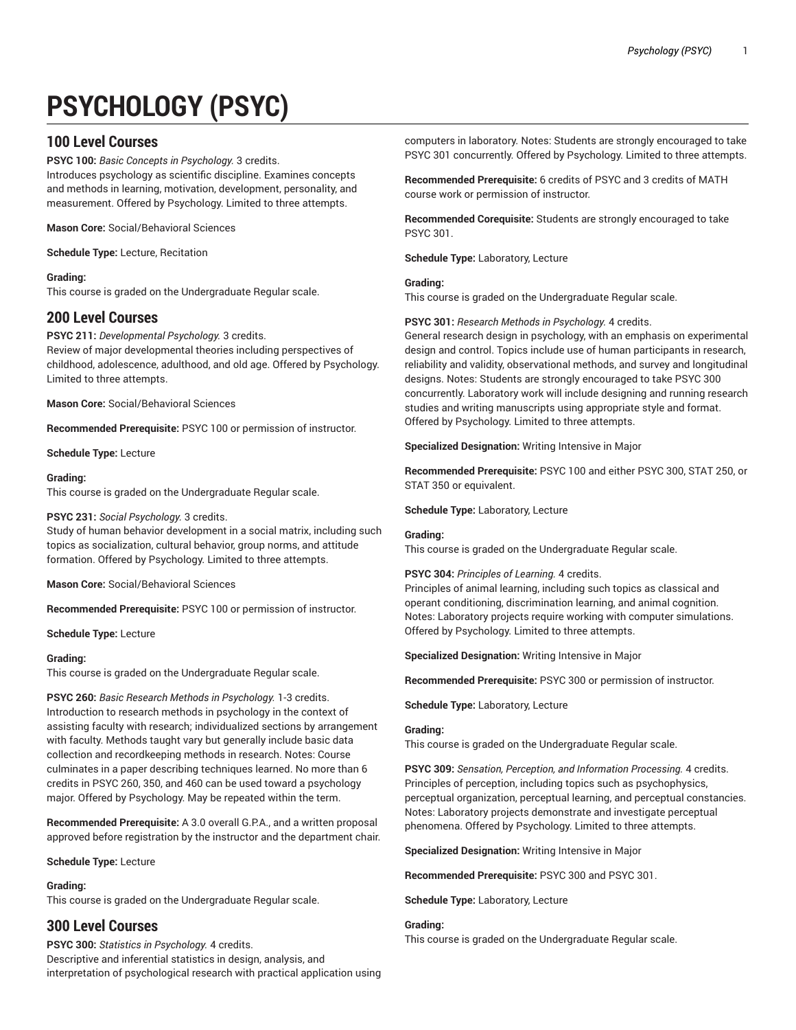# **PSYCHOLOGY (PSYC)**

# **100 Level Courses**

**PSYC 100:** *Basic Concepts in Psychology.* 3 credits. Introduces psychology as scientific discipline. Examines concepts and methods in learning, motivation, development, personality, and measurement. Offered by Psychology. Limited to three attempts.

**Mason Core:** Social/Behavioral Sciences

**Schedule Type:** Lecture, Recitation

## **Grading:**

This course is graded on the Undergraduate Regular scale.

# **200 Level Courses**

**PSYC 211:** *Developmental Psychology.* 3 credits. Review of major developmental theories including perspectives of childhood, adolescence, adulthood, and old age. Offered by Psychology. Limited to three attempts.

**Mason Core:** Social/Behavioral Sciences

**Recommended Prerequisite:** PSYC 100 or permission of instructor.

**Schedule Type:** Lecture

## **Grading:**

This course is graded on the Undergraduate Regular scale.

## **PSYC 231:** *Social Psychology.* 3 credits.

Study of human behavior development in a social matrix, including such topics as socialization, cultural behavior, group norms, and attitude formation. Offered by Psychology. Limited to three attempts.

**Mason Core:** Social/Behavioral Sciences

**Recommended Prerequisite:** PSYC 100 or permission of instructor.

**Schedule Type:** Lecture

#### **Grading:**

This course is graded on the Undergraduate Regular scale.

**PSYC 260:** *Basic Research Methods in Psychology.* 1-3 credits. Introduction to research methods in psychology in the context of assisting faculty with research; individualized sections by arrangement with faculty. Methods taught vary but generally include basic data collection and recordkeeping methods in research. Notes: Course culminates in a paper describing techniques learned. No more than 6 credits in PSYC 260, 350, and 460 can be used toward a psychology major. Offered by Psychology. May be repeated within the term.

**Recommended Prerequisite:** A 3.0 overall G.P.A., and a written proposal approved before registration by the instructor and the department chair.

#### **Schedule Type:** Lecture

#### **Grading:**

This course is graded on the Undergraduate Regular scale.

# **300 Level Courses**

**PSYC 300:** *Statistics in Psychology.* 4 credits. Descriptive and inferential statistics in design, analysis, and interpretation of psychological research with practical application using

computers in laboratory. Notes: Students are strongly encouraged to take PSYC 301 concurrently. Offered by Psychology. Limited to three attempts.

**Recommended Prerequisite:** 6 credits of PSYC and 3 credits of MATH course work or permission of instructor.

**Recommended Corequisite:** Students are strongly encouraged to take PSYC 301.

**Schedule Type:** Laboratory, Lecture

#### **Grading:**

This course is graded on the Undergraduate Regular scale.

## **PSYC 301:** *Research Methods in Psychology.* 4 credits.

General research design in psychology, with an emphasis on experimental design and control. Topics include use of human participants in research, reliability and validity, observational methods, and survey and longitudinal designs. Notes: Students are strongly encouraged to take PSYC 300 concurrently. Laboratory work will include designing and running research studies and writing manuscripts using appropriate style and format. Offered by Psychology. Limited to three attempts.

**Specialized Designation:** Writing Intensive in Major

**Recommended Prerequisite:** PSYC 100 and either PSYC 300, STAT 250, or STAT 350 or equivalent.

**Schedule Type:** Laboratory, Lecture

## **Grading:**

This course is graded on the Undergraduate Regular scale.

#### **PSYC 304:** *Principles of Learning.* 4 credits.

Principles of animal learning, including such topics as classical and operant conditioning, discrimination learning, and animal cognition. Notes: Laboratory projects require working with computer simulations. Offered by Psychology. Limited to three attempts.

**Specialized Designation:** Writing Intensive in Major

**Recommended Prerequisite:** PSYC 300 or permission of instructor.

**Schedule Type:** Laboratory, Lecture

#### **Grading:**

This course is graded on the Undergraduate Regular scale.

**PSYC 309:** *Sensation, Perception, and Information Processing.* 4 credits. Principles of perception, including topics such as psychophysics, perceptual organization, perceptual learning, and perceptual constancies. Notes: Laboratory projects demonstrate and investigate perceptual phenomena. Offered by Psychology. Limited to three attempts.

**Specialized Designation:** Writing Intensive in Major

**Recommended Prerequisite:** PSYC 300 and PSYC 301.

**Schedule Type:** Laboratory, Lecture

#### **Grading:**

This course is graded on the Undergraduate Regular scale.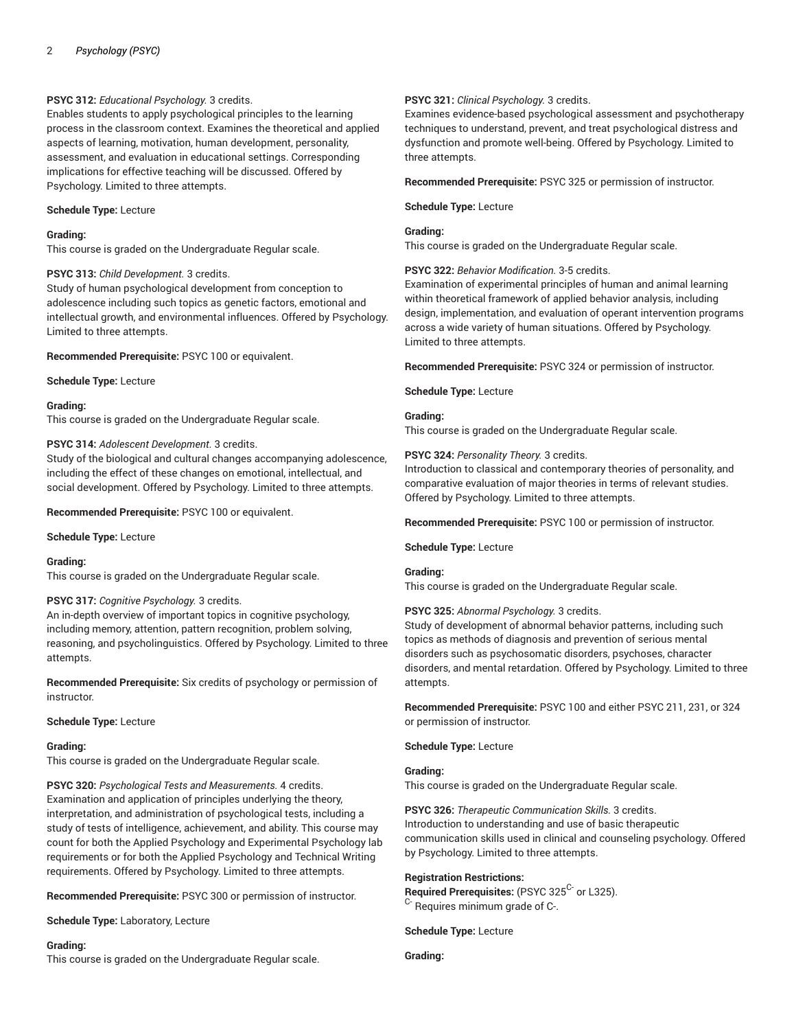## **PSYC 312:** *Educational Psychology.* 3 credits.

Enables students to apply psychological principles to the learning process in the classroom context. Examines the theoretical and applied aspects of learning, motivation, human development, personality, assessment, and evaluation in educational settings. Corresponding implications for effective teaching will be discussed. Offered by Psychology. Limited to three attempts.

## **Schedule Type:** Lecture

#### **Grading:**

This course is graded on the Undergraduate Regular scale.

#### **PSYC 313:** *Child Development.* 3 credits.

Study of human psychological development from conception to adolescence including such topics as genetic factors, emotional and intellectual growth, and environmental influences. Offered by Psychology. Limited to three attempts.

**Recommended Prerequisite:** PSYC 100 or equivalent.

**Schedule Type:** Lecture

#### **Grading:**

This course is graded on the Undergraduate Regular scale.

#### **PSYC 314:** *Adolescent Development.* 3 credits.

Study of the biological and cultural changes accompanying adolescence, including the effect of these changes on emotional, intellectual, and social development. Offered by Psychology. Limited to three attempts.

**Recommended Prerequisite:** PSYC 100 or equivalent.

**Schedule Type:** Lecture

#### **Grading:**

This course is graded on the Undergraduate Regular scale.

## **PSYC 317:** *Cognitive Psychology.* 3 credits.

An in-depth overview of important topics in cognitive psychology, including memory, attention, pattern recognition, problem solving, reasoning, and psycholinguistics. Offered by Psychology. Limited to three attempts.

**Recommended Prerequisite:** Six credits of psychology or permission of instructor.

**Schedule Type:** Lecture

#### **Grading:**

This course is graded on the Undergraduate Regular scale.

**PSYC 320:** *Psychological Tests and Measurements.* 4 credits. Examination and application of principles underlying the theory, interpretation, and administration of psychological tests, including a study of tests of intelligence, achievement, and ability. This course may count for both the Applied Psychology and Experimental Psychology lab requirements or for both the Applied Psychology and Technical Writing requirements. Offered by Psychology. Limited to three attempts.

**Recommended Prerequisite:** PSYC 300 or permission of instructor.

**Schedule Type:** Laboratory, Lecture

#### **Grading:**

This course is graded on the Undergraduate Regular scale.

## **PSYC 321:** *Clinical Psychology.* 3 credits.

Examines evidence-based psychological assessment and psychotherapy techniques to understand, prevent, and treat psychological distress and dysfunction and promote well-being. Offered by Psychology. Limited to three attempts.

**Recommended Prerequisite:** PSYC 325 or permission of instructor.

**Schedule Type:** Lecture

## **Grading:**

This course is graded on the Undergraduate Regular scale.

**PSYC 322:** *Behavior Modification.* 3-5 credits.

Examination of experimental principles of human and animal learning within theoretical framework of applied behavior analysis, including design, implementation, and evaluation of operant intervention programs across a wide variety of human situations. Offered by Psychology. Limited to three attempts.

**Recommended Prerequisite:** PSYC 324 or permission of instructor.

#### **Schedule Type:** Lecture

## **Grading:**

This course is graded on the Undergraduate Regular scale.

#### **PSYC 324:** *Personality Theory.* 3 credits.

Introduction to classical and contemporary theories of personality, and comparative evaluation of major theories in terms of relevant studies. Offered by Psychology. Limited to three attempts.

**Recommended Prerequisite:** PSYC 100 or permission of instructor.

**Schedule Type:** Lecture

#### **Grading:**

This course is graded on the Undergraduate Regular scale.

#### **PSYC 325:** *Abnormal Psychology.* 3 credits.

Study of development of abnormal behavior patterns, including such topics as methods of diagnosis and prevention of serious mental disorders such as psychosomatic disorders, psychoses, character disorders, and mental retardation. Offered by Psychology. Limited to three attempts.

**Recommended Prerequisite:** PSYC 100 and either PSYC 211, 231, or 324 or permission of instructor.

#### **Schedule Type:** Lecture

#### **Grading:**

This course is graded on the Undergraduate Regular scale.

**PSYC 326:** *Therapeutic Communication Skills.* 3 credits. Introduction to understanding and use of basic therapeutic communication skills used in clinical and counseling psychology. Offered by Psychology. Limited to three attempts.

#### **Registration Restrictions:**

Required Prerequisites: (PSYC 325<sup>C-</sup> or L325). <sup>C-</sup> Requires minimum grade of C-.

**Schedule Type:** Lecture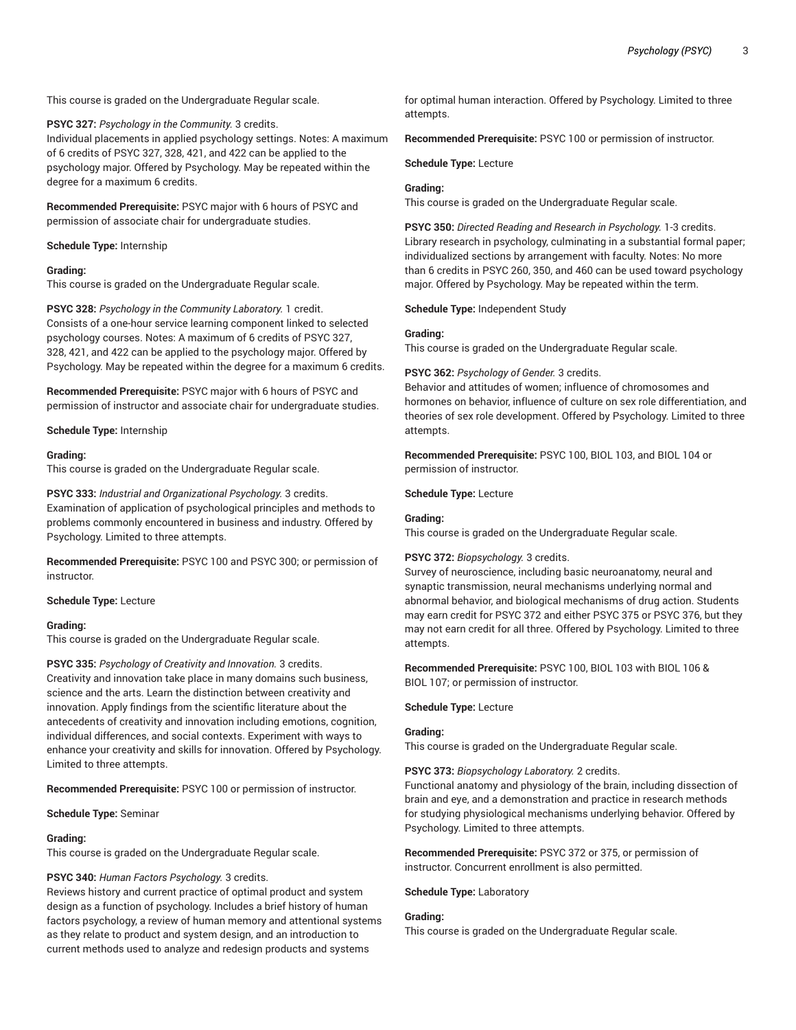This course is graded on the Undergraduate Regular scale.

**PSYC 327:** *Psychology in the Community.* 3 credits. Individual placements in applied psychology settings. Notes: A maximum of 6 credits of PSYC 327, 328, 421, and 422 can be applied to the psychology major. Offered by Psychology. May be repeated within the degree for a maximum 6 credits.

**Recommended Prerequisite:** PSYC major with 6 hours of PSYC and permission of associate chair for undergraduate studies.

#### **Schedule Type:** Internship

## **Grading:**

This course is graded on the Undergraduate Regular scale.

**PSYC 328:** *Psychology in the Community Laboratory.* 1 credit. Consists of a one-hour service learning component linked to selected psychology courses. Notes: A maximum of 6 credits of PSYC 327, 328, 421, and 422 can be applied to the psychology major. Offered by Psychology. May be repeated within the degree for a maximum 6 credits.

**Recommended Prerequisite:** PSYC major with 6 hours of PSYC and permission of instructor and associate chair for undergraduate studies.

**Schedule Type:** Internship

#### **Grading:**

This course is graded on the Undergraduate Regular scale.

**PSYC 333:** *Industrial and Organizational Psychology.* 3 credits. Examination of application of psychological principles and methods to problems commonly encountered in business and industry. Offered by Psychology. Limited to three attempts.

**Recommended Prerequisite:** PSYC 100 and PSYC 300; or permission of instructor.

#### **Schedule Type:** Lecture

#### **Grading:**

This course is graded on the Undergraduate Regular scale.

**PSYC 335:** *Psychology of Creativity and Innovation.* 3 credits. Creativity and innovation take place in many domains such business, science and the arts. Learn the distinction between creativity and innovation. Apply findings from the scientific literature about the antecedents of creativity and innovation including emotions, cognition, individual differences, and social contexts. Experiment with ways to enhance your creativity and skills for innovation. Offered by Psychology. Limited to three attempts.

**Recommended Prerequisite:** PSYC 100 or permission of instructor.

**Schedule Type:** Seminar

#### **Grading:**

This course is graded on the Undergraduate Regular scale.

#### **PSYC 340:** *Human Factors Psychology.* 3 credits.

Reviews history and current practice of optimal product and system design as a function of psychology. Includes a brief history of human factors psychology, a review of human memory and attentional systems as they relate to product and system design, and an introduction to current methods used to analyze and redesign products and systems

for optimal human interaction. Offered by Psychology. Limited to three attempts.

**Recommended Prerequisite:** PSYC 100 or permission of instructor.

**Schedule Type:** Lecture

#### **Grading:**

This course is graded on the Undergraduate Regular scale.

**PSYC 350:** *Directed Reading and Research in Psychology.* 1-3 credits. Library research in psychology, culminating in a substantial formal paper; individualized sections by arrangement with faculty. Notes: No more than 6 credits in PSYC 260, 350, and 460 can be used toward psychology major. Offered by Psychology. May be repeated within the term.

**Schedule Type:** Independent Study

#### **Grading:**

This course is graded on the Undergraduate Regular scale.

#### **PSYC 362:** *Psychology of Gender.* 3 credits.

Behavior and attitudes of women; influence of chromosomes and hormones on behavior, influence of culture on sex role differentiation, and theories of sex role development. Offered by Psychology. Limited to three attempts.

**Recommended Prerequisite:** PSYC 100, BIOL 103, and BIOL 104 or permission of instructor.

**Schedule Type:** Lecture

#### **Grading:**

This course is graded on the Undergraduate Regular scale.

#### **PSYC 372:** *Biopsychology.* 3 credits.

Survey of neuroscience, including basic neuroanatomy, neural and synaptic transmission, neural mechanisms underlying normal and abnormal behavior, and biological mechanisms of drug action. Students may earn credit for PSYC 372 and either PSYC 375 or PSYC 376, but they may not earn credit for all three. Offered by Psychology. Limited to three attempts.

**Recommended Prerequisite:** PSYC 100, BIOL 103 with BIOL 106 & BIOL 107; or permission of instructor.

**Schedule Type:** Lecture

## **Grading:**

This course is graded on the Undergraduate Regular scale.

**PSYC 373:** *Biopsychology Laboratory.* 2 credits.

Functional anatomy and physiology of the brain, including dissection of brain and eye, and a demonstration and practice in research methods for studying physiological mechanisms underlying behavior. Offered by Psychology. Limited to three attempts.

**Recommended Prerequisite:** PSYC 372 or 375, or permission of instructor. Concurrent enrollment is also permitted.

**Schedule Type:** Laboratory

#### **Grading:**

This course is graded on the Undergraduate Regular scale.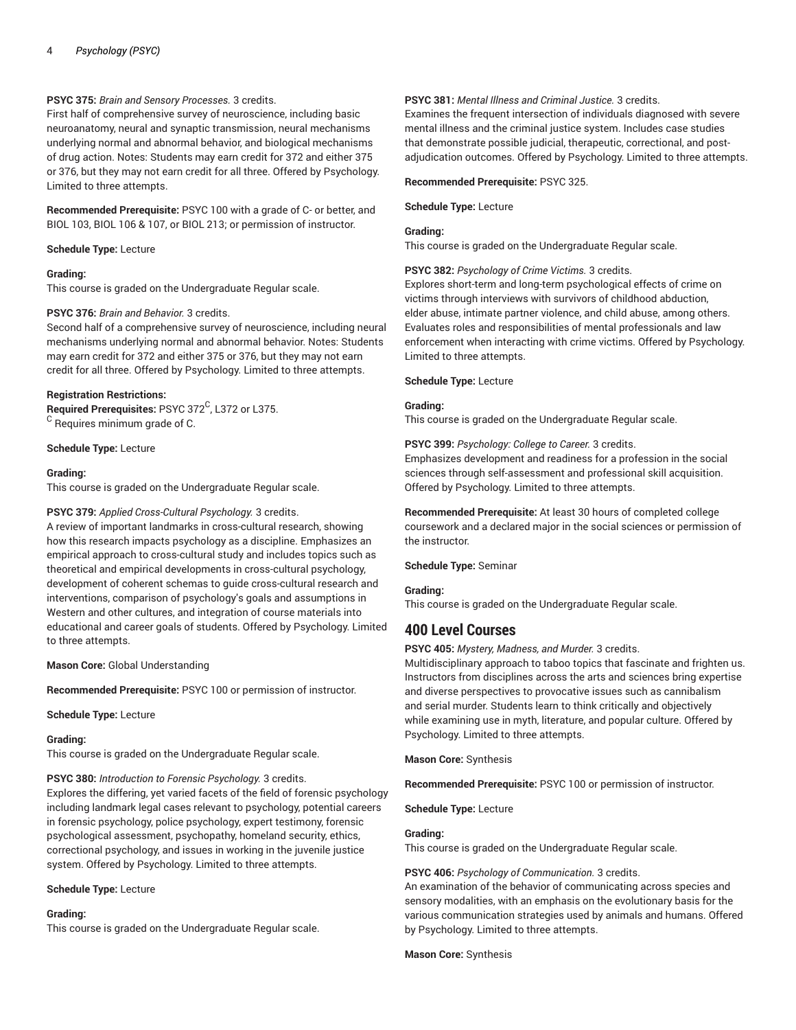## **PSYC 375:** *Brain and Sensory Processes.* 3 credits.

First half of comprehensive survey of neuroscience, including basic neuroanatomy, neural and synaptic transmission, neural mechanisms underlying normal and abnormal behavior, and biological mechanisms of drug action. Notes: Students may earn credit for 372 and either 375 or 376, but they may not earn credit for all three. Offered by Psychology. Limited to three attempts.

**Recommended Prerequisite:** PSYC 100 with a grade of C- or better, and BIOL 103, BIOL 106 & 107, or BIOL 213; or permission of instructor.

**Schedule Type:** Lecture

## **Grading:**

This course is graded on the Undergraduate Regular scale.

## **PSYC 376:** *Brain and Behavior.* 3 credits.

Second half of a comprehensive survey of neuroscience, including neural mechanisms underlying normal and abnormal behavior. Notes: Students may earn credit for 372 and either 375 or 376, but they may not earn credit for all three. Offered by Psychology. Limited to three attempts.

## **Registration Restrictions:**

**Required Prerequisites:** PSYC 372 C , L372 or L375.  $\rm ^C$  Requires minimum grade of C.

## **Schedule Type:** Lecture

## **Grading:**

This course is graded on the Undergraduate Regular scale.

## **PSYC 379:** *Applied Cross-Cultural Psychology.* 3 credits.

A review of important landmarks in cross-cultural research, showing how this research impacts psychology as a discipline. Emphasizes an empirical approach to cross-cultural study and includes topics such as theoretical and empirical developments in cross-cultural psychology, development of coherent schemas to guide cross-cultural research and interventions, comparison of psychology's goals and assumptions in Western and other cultures, and integration of course materials into educational and career goals of students. Offered by Psychology. Limited to three attempts.

**Mason Core:** Global Understanding

**Recommended Prerequisite:** PSYC 100 or permission of instructor.

**Schedule Type:** Lecture

#### **Grading:**

This course is graded on the Undergraduate Regular scale.

**PSYC 380:** *Introduction to Forensic Psychology.* 3 credits.

Explores the differing, yet varied facets of the field of forensic psychology including landmark legal cases relevant to psychology, potential careers in forensic psychology, police psychology, expert testimony, forensic psychological assessment, psychopathy, homeland security, ethics, correctional psychology, and issues in working in the juvenile justice system. Offered by Psychology. Limited to three attempts.

#### **Schedule Type:** Lecture

#### **Grading:**

This course is graded on the Undergraduate Regular scale.

## **PSYC 381:** *Mental Illness and Criminal Justice.* 3 credits.

Examines the frequent intersection of individuals diagnosed with severe mental illness and the criminal justice system. Includes case studies that demonstrate possible judicial, therapeutic, correctional, and postadjudication outcomes. Offered by Psychology. Limited to three attempts.

#### **Recommended Prerequisite:** PSYC 325.

**Schedule Type:** Lecture

## **Grading:**

This course is graded on the Undergraduate Regular scale.

**PSYC 382:** *Psychology of Crime Victims.* 3 credits.

Explores short-term and long-term psychological effects of crime on victims through interviews with survivors of childhood abduction, elder abuse, intimate partner violence, and child abuse, among others. Evaluates roles and responsibilities of mental professionals and law enforcement when interacting with crime victims. Offered by Psychology. Limited to three attempts.

#### **Schedule Type:** Lecture

## **Grading:**

This course is graded on the Undergraduate Regular scale.

**PSYC 399:** *Psychology: College to Career.* 3 credits. Emphasizes development and readiness for a profession in the social sciences through self-assessment and professional skill acquisition. Offered by Psychology. Limited to three attempts.

**Recommended Prerequisite:** At least 30 hours of completed college coursework and a declared major in the social sciences or permission of the instructor.

#### **Schedule Type:** Seminar

#### **Grading:**

This course is graded on the Undergraduate Regular scale.

# **400 Level Courses**

**PSYC 405:** *Mystery, Madness, and Murder.* 3 credits.

Multidisciplinary approach to taboo topics that fascinate and frighten us. Instructors from disciplines across the arts and sciences bring expertise and diverse perspectives to provocative issues such as cannibalism and serial murder. Students learn to think critically and objectively while examining use in myth, literature, and popular culture. Offered by Psychology. Limited to three attempts.

**Mason Core:** Synthesis

**Recommended Prerequisite:** PSYC 100 or permission of instructor.

**Schedule Type:** Lecture

## **Grading:**

This course is graded on the Undergraduate Regular scale.

#### **PSYC 406:** *Psychology of Communication.* 3 credits.

An examination of the behavior of communicating across species and sensory modalities, with an emphasis on the evolutionary basis for the various communication strategies used by animals and humans. Offered by Psychology. Limited to three attempts.

**Mason Core:** Synthesis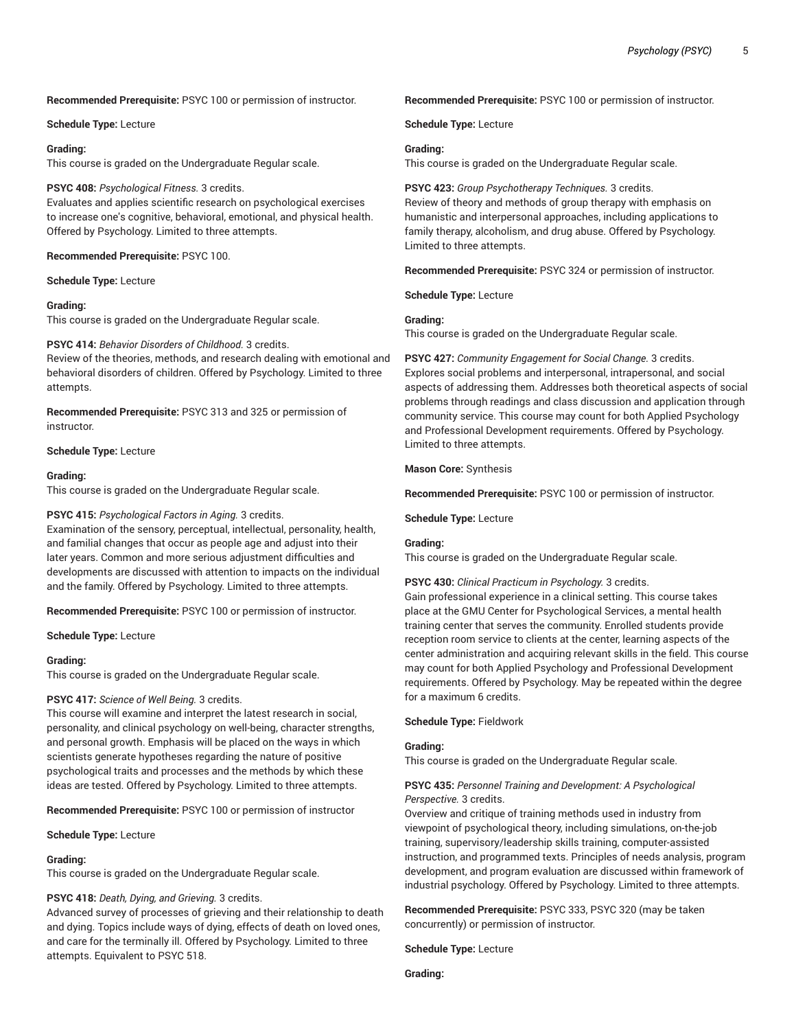## **Recommended Prerequisite:** PSYC 100 or permission of instructor.

#### **Schedule Type:** Lecture

#### **Grading:**

This course is graded on the Undergraduate Regular scale.

#### **PSYC 408:** *Psychological Fitness.* 3 credits.

Evaluates and applies scientific research on psychological exercises to increase one's cognitive, behavioral, emotional, and physical health. Offered by Psychology. Limited to three attempts.

**Recommended Prerequisite:** PSYC 100.

## **Schedule Type:** Lecture

## **Grading:**

This course is graded on the Undergraduate Regular scale.

## **PSYC 414:** *Behavior Disorders of Childhood.* 3 credits.

Review of the theories, methods, and research dealing with emotional and behavioral disorders of children. Offered by Psychology. Limited to three attempts.

**Recommended Prerequisite:** PSYC 313 and 325 or permission of instructor.

## **Schedule Type:** Lecture

#### **Grading:**

This course is graded on the Undergraduate Regular scale.

## **PSYC 415:** *Psychological Factors in Aging.* 3 credits.

Examination of the sensory, perceptual, intellectual, personality, health, and familial changes that occur as people age and adjust into their later years. Common and more serious adjustment difficulties and developments are discussed with attention to impacts on the individual and the family. Offered by Psychology. Limited to three attempts.

**Recommended Prerequisite:** PSYC 100 or permission of instructor.

#### **Schedule Type:** Lecture

#### **Grading:**

This course is graded on the Undergraduate Regular scale.

#### **PSYC 417:** *Science of Well Being.* 3 credits.

This course will examine and interpret the latest research in social, personality, and clinical psychology on well-being, character strengths, and personal growth. Emphasis will be placed on the ways in which scientists generate hypotheses regarding the nature of positive psychological traits and processes and the methods by which these ideas are tested. Offered by Psychology. Limited to three attempts.

**Recommended Prerequisite:** PSYC 100 or permission of instructor

## **Schedule Type:** Lecture

## **Grading:**

This course is graded on the Undergraduate Regular scale.

#### **PSYC 418:** *Death, Dying, and Grieving.* 3 credits.

Advanced survey of processes of grieving and their relationship to death and dying. Topics include ways of dying, effects of death on loved ones, and care for the terminally ill. Offered by Psychology. Limited to three attempts. Equivalent to PSYC 518.

**Recommended Prerequisite:** PSYC 100 or permission of instructor.

**Schedule Type:** Lecture

## **Grading:**

This course is graded on the Undergraduate Regular scale.

**PSYC 423:** *Group Psychotherapy Techniques.* 3 credits. Review of theory and methods of group therapy with emphasis on humanistic and interpersonal approaches, including applications to family therapy, alcoholism, and drug abuse. Offered by Psychology. Limited to three attempts.

**Recommended Prerequisite:** PSYC 324 or permission of instructor.

**Schedule Type:** Lecture

#### **Grading:**

This course is graded on the Undergraduate Regular scale.

**PSYC 427:** *Community Engagement for Social Change.* 3 credits. Explores social problems and interpersonal, intrapersonal, and social aspects of addressing them. Addresses both theoretical aspects of social problems through readings and class discussion and application through community service. This course may count for both Applied Psychology and Professional Development requirements. Offered by Psychology. Limited to three attempts.

#### **Mason Core:** Synthesis

**Recommended Prerequisite:** PSYC 100 or permission of instructor.

#### **Schedule Type:** Lecture

## **Grading:**

This course is graded on the Undergraduate Regular scale.

#### **PSYC 430:** *Clinical Practicum in Psychology.* 3 credits.

Gain professional experience in a clinical setting. This course takes place at the GMU Center for Psychological Services, a mental health training center that serves the community. Enrolled students provide reception room service to clients at the center, learning aspects of the center administration and acquiring relevant skills in the field. This course may count for both Applied Psychology and Professional Development requirements. Offered by Psychology. May be repeated within the degree for a maximum 6 credits.

## **Schedule Type:** Fieldwork

#### **Grading:**

This course is graded on the Undergraduate Regular scale.

## **PSYC 435:** *Personnel Training and Development: A Psychological Perspective.* 3 credits.

Overview and critique of training methods used in industry from viewpoint of psychological theory, including simulations, on-the-job training, supervisory/leadership skills training, computer-assisted instruction, and programmed texts. Principles of needs analysis, program development, and program evaluation are discussed within framework of industrial psychology. Offered by Psychology. Limited to three attempts.

**Recommended Prerequisite:** PSYC 333, PSYC 320 (may be taken concurrently) or permission of instructor.

#### **Schedule Type:** Lecture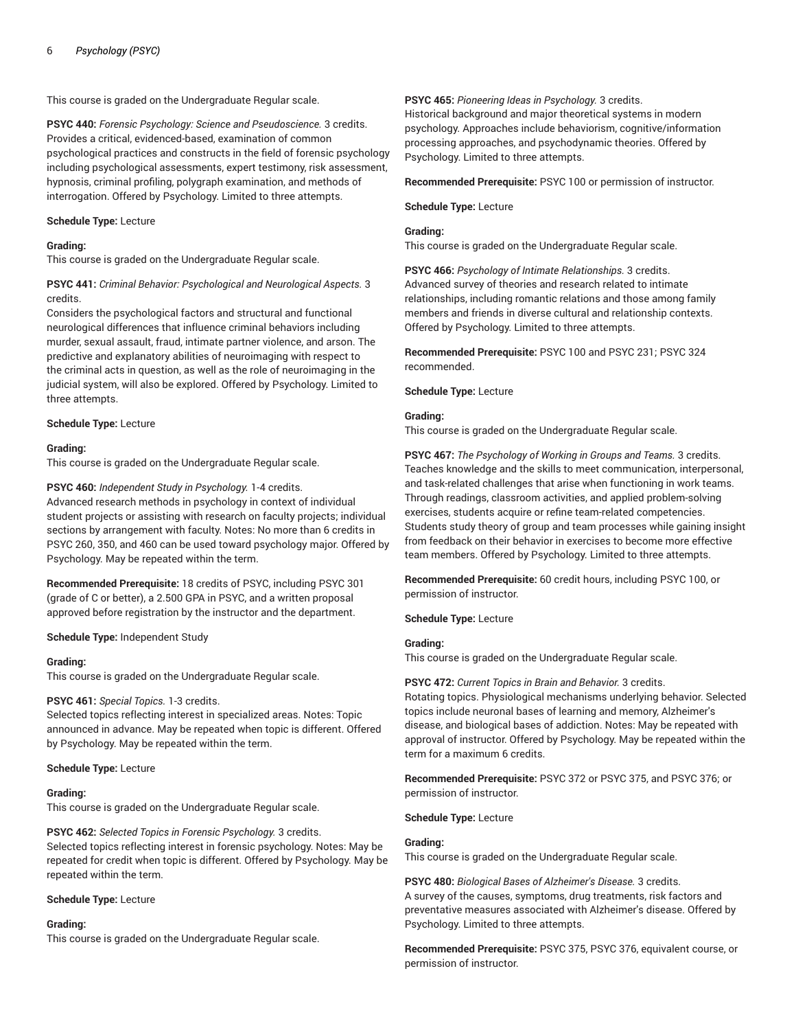This course is graded on the Undergraduate Regular scale.

**PSYC 440:** *Forensic Psychology: Science and Pseudoscience.* 3 credits. Provides a critical, evidenced-based, examination of common psychological practices and constructs in the field of forensic psychology including psychological assessments, expert testimony, risk assessment, hypnosis, criminal profiling, polygraph examination, and methods of interrogation. Offered by Psychology. Limited to three attempts.

#### **Schedule Type:** Lecture

## **Grading:**

This course is graded on the Undergraduate Regular scale.

## **PSYC 441:** *Criminal Behavior: Psychological and Neurological Aspects.* 3 credits.

Considers the psychological factors and structural and functional neurological differences that influence criminal behaviors including murder, sexual assault, fraud, intimate partner violence, and arson. The predictive and explanatory abilities of neuroimaging with respect to the criminal acts in question, as well as the role of neuroimaging in the judicial system, will also be explored. Offered by Psychology. Limited to three attempts.

## **Schedule Type:** Lecture

## **Grading:**

This course is graded on the Undergraduate Regular scale.

## **PSYC 460:** *Independent Study in Psychology.* 1-4 credits.

Advanced research methods in psychology in context of individual student projects or assisting with research on faculty projects; individual sections by arrangement with faculty. Notes: No more than 6 credits in PSYC 260, 350, and 460 can be used toward psychology major. Offered by Psychology. May be repeated within the term.

**Recommended Prerequisite:** 18 credits of PSYC, including PSYC 301 (grade of C or better), a 2.500 GPA in PSYC, and a written proposal approved before registration by the instructor and the department.

#### **Schedule Type:** Independent Study

#### **Grading:**

This course is graded on the Undergraduate Regular scale.

## **PSYC 461:** *Special Topics.* 1-3 credits.

Selected topics reflecting interest in specialized areas. Notes: Topic announced in advance. May be repeated when topic is different. Offered by Psychology. May be repeated within the term.

## **Schedule Type:** Lecture

## **Grading:**

This course is graded on the Undergraduate Regular scale.

#### **PSYC 462:** *Selected Topics in Forensic Psychology.* 3 credits.

Selected topics reflecting interest in forensic psychology. Notes: May be repeated for credit when topic is different. Offered by Psychology. May be repeated within the term.

#### **Schedule Type:** Lecture

## **Grading:**

This course is graded on the Undergraduate Regular scale.

## **PSYC 465:** *Pioneering Ideas in Psychology.* 3 credits.

Historical background and major theoretical systems in modern psychology. Approaches include behaviorism, cognitive/information processing approaches, and psychodynamic theories. Offered by Psychology. Limited to three attempts.

**Recommended Prerequisite:** PSYC 100 or permission of instructor.

**Schedule Type:** Lecture

## **Grading:**

This course is graded on the Undergraduate Regular scale.

**PSYC 466:** *Psychology of Intimate Relationships.* 3 credits. Advanced survey of theories and research related to intimate relationships, including romantic relations and those among family members and friends in diverse cultural and relationship contexts. Offered by Psychology. Limited to three attempts.

**Recommended Prerequisite:** PSYC 100 and PSYC 231; PSYC 324 recommended.

**Schedule Type:** Lecture

## **Grading:**

This course is graded on the Undergraduate Regular scale.

**PSYC 467:** *The Psychology of Working in Groups and Teams.* 3 credits. Teaches knowledge and the skills to meet communication, interpersonal, and task-related challenges that arise when functioning in work teams. Through readings, classroom activities, and applied problem-solving exercises, students acquire or refine team-related competencies. Students study theory of group and team processes while gaining insight from feedback on their behavior in exercises to become more effective team members. Offered by Psychology. Limited to three attempts.

**Recommended Prerequisite:** 60 credit hours, including PSYC 100, or permission of instructor.

**Schedule Type:** Lecture

## **Grading:**

This course is graded on the Undergraduate Regular scale.

#### **PSYC 472:** *Current Topics in Brain and Behavior.* 3 credits.

Rotating topics. Physiological mechanisms underlying behavior. Selected topics include neuronal bases of learning and memory, Alzheimer's disease, and biological bases of addiction. Notes: May be repeated with approval of instructor. Offered by Psychology. May be repeated within the term for a maximum 6 credits.

**Recommended Prerequisite:** PSYC 372 or PSYC 375, and PSYC 376; or permission of instructor.

**Schedule Type:** Lecture

#### **Grading:**

This course is graded on the Undergraduate Regular scale.

**PSYC 480:** *Biological Bases of Alzheimer's Disease.* 3 credits. A survey of the causes, symptoms, drug treatments, risk factors and preventative measures associated with Alzheimer's disease. Offered by Psychology. Limited to three attempts.

**Recommended Prerequisite:** PSYC 375, PSYC 376, equivalent course, or permission of instructor.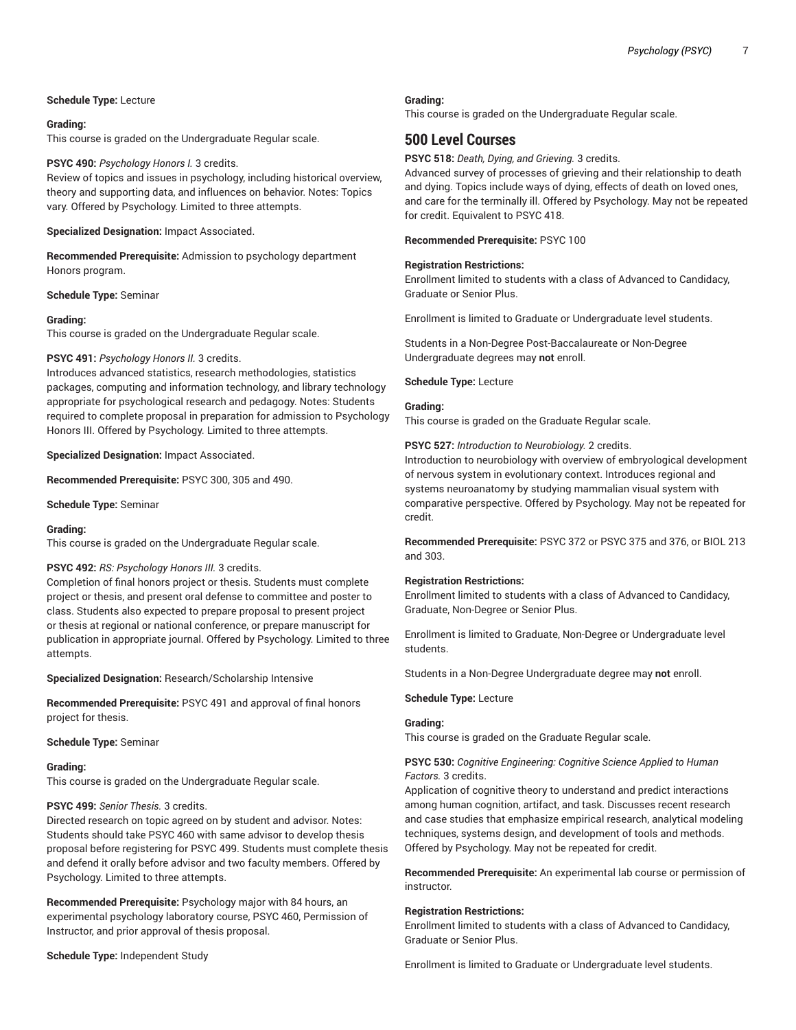## **Schedule Type:** Lecture

#### **Grading:**

This course is graded on the Undergraduate Regular scale.

#### **PSYC 490:** *Psychology Honors I.* 3 credits.

Review of topics and issues in psychology, including historical overview, theory and supporting data, and influences on behavior. Notes: Topics vary. Offered by Psychology. Limited to three attempts.

#### **Specialized Designation:** Impact Associated.

**Recommended Prerequisite:** Admission to psychology department Honors program.

#### **Schedule Type:** Seminar

#### **Grading:**

This course is graded on the Undergraduate Regular scale.

#### **PSYC 491:** *Psychology Honors II.* 3 credits.

Introduces advanced statistics, research methodologies, statistics packages, computing and information technology, and library technology appropriate for psychological research and pedagogy. Notes: Students required to complete proposal in preparation for admission to Psychology Honors III. Offered by Psychology. Limited to three attempts.

**Specialized Designation:** Impact Associated.

**Recommended Prerequisite:** PSYC 300, 305 and 490.

**Schedule Type:** Seminar

#### **Grading:**

This course is graded on the Undergraduate Regular scale.

#### **PSYC 492:** *RS: Psychology Honors III.* 3 credits.

Completion of final honors project or thesis. Students must complete project or thesis, and present oral defense to committee and poster to class. Students also expected to prepare proposal to present project or thesis at regional or national conference, or prepare manuscript for publication in appropriate journal. Offered by Psychology. Limited to three attempts.

**Specialized Designation:** Research/Scholarship Intensive

**Recommended Prerequisite:** PSYC 491 and approval of final honors project for thesis.

#### **Schedule Type:** Seminar

#### **Grading:**

This course is graded on the Undergraduate Regular scale.

#### **PSYC 499:** *Senior Thesis.* 3 credits.

Directed research on topic agreed on by student and advisor. Notes: Students should take PSYC 460 with same advisor to develop thesis proposal before registering for PSYC 499. Students must complete thesis and defend it orally before advisor and two faculty members. Offered by Psychology. Limited to three attempts.

**Recommended Prerequisite:** Psychology major with 84 hours, an experimental psychology laboratory course, PSYC 460, Permission of Instructor, and prior approval of thesis proposal.

**Schedule Type:** Independent Study

#### **Grading:**

This course is graded on the Undergraduate Regular scale.

# **500 Level Courses**

**PSYC 518:** *Death, Dying, and Grieving.* 3 credits.

Advanced survey of processes of grieving and their relationship to death and dying. Topics include ways of dying, effects of death on loved ones, and care for the terminally ill. Offered by Psychology. May not be repeated for credit. Equivalent to PSYC 418.

**Recommended Prerequisite:** PSYC 100

#### **Registration Restrictions:**

Enrollment limited to students with a class of Advanced to Candidacy, Graduate or Senior Plus.

Enrollment is limited to Graduate or Undergraduate level students.

Students in a Non-Degree Post-Baccalaureate or Non-Degree Undergraduate degrees may **not** enroll.

**Schedule Type:** Lecture

## **Grading:**

This course is graded on the Graduate Regular scale.

**PSYC 527:** *Introduction to Neurobiology.* 2 credits.

Introduction to neurobiology with overview of embryological development of nervous system in evolutionary context. Introduces regional and systems neuroanatomy by studying mammalian visual system with comparative perspective. Offered by Psychology. May not be repeated for credit.

**Recommended Prerequisite:** PSYC 372 or PSYC 375 and 376, or BIOL 213 and 303.

#### **Registration Restrictions:**

Enrollment limited to students with a class of Advanced to Candidacy, Graduate, Non-Degree or Senior Plus.

Enrollment is limited to Graduate, Non-Degree or Undergraduate level students.

Students in a Non-Degree Undergraduate degree may **not** enroll.

#### **Schedule Type:** Lecture

#### **Grading:**

This course is graded on the Graduate Regular scale.

## **PSYC 530:** *Cognitive Engineering: Cognitive Science Applied to Human Factors.* 3 credits.

Application of cognitive theory to understand and predict interactions among human cognition, artifact, and task. Discusses recent research and case studies that emphasize empirical research, analytical modeling techniques, systems design, and development of tools and methods. Offered by Psychology. May not be repeated for credit.

**Recommended Prerequisite:** An experimental lab course or permission of instructor.

#### **Registration Restrictions:**

Enrollment limited to students with a class of Advanced to Candidacy, Graduate or Senior Plus.

Enrollment is limited to Graduate or Undergraduate level students.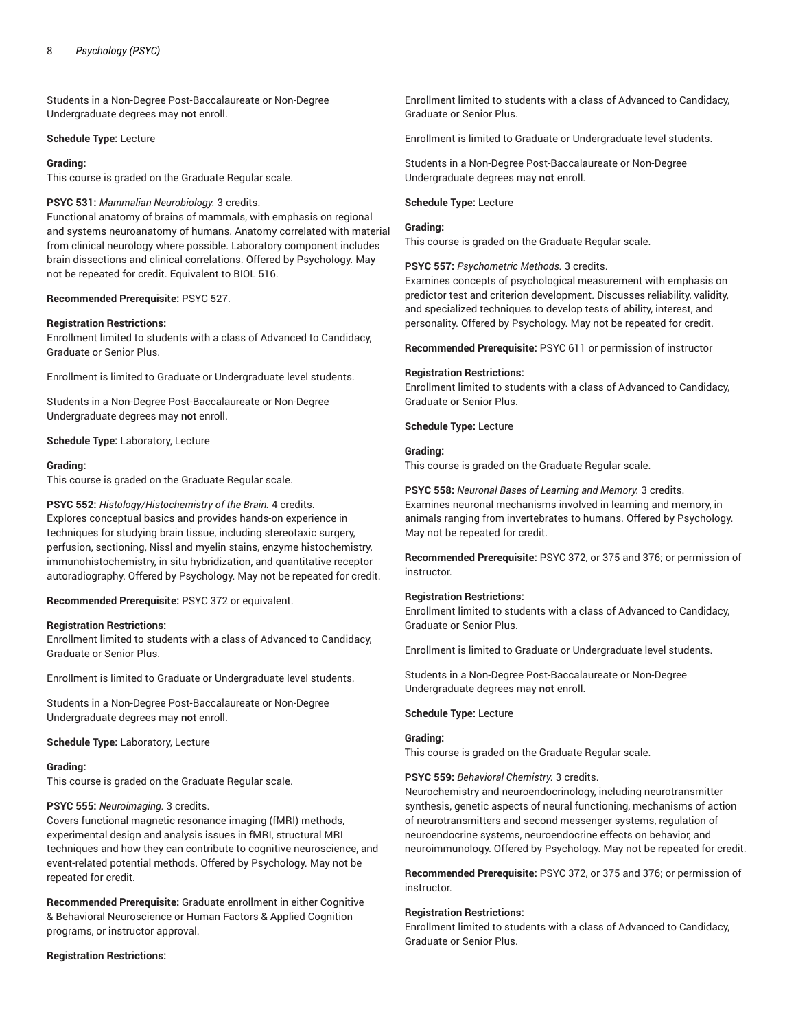Students in a Non-Degree Post-Baccalaureate or Non-Degree Undergraduate degrees may **not** enroll.

#### **Schedule Type:** Lecture

## **Grading:**

This course is graded on the Graduate Regular scale.

## **PSYC 531:** *Mammalian Neurobiology.* 3 credits.

Functional anatomy of brains of mammals, with emphasis on regional and systems neuroanatomy of humans. Anatomy correlated with material from clinical neurology where possible. Laboratory component includes brain dissections and clinical correlations. Offered by Psychology. May not be repeated for credit. Equivalent to BIOL 516.

## **Recommended Prerequisite:** PSYC 527.

## **Registration Restrictions:**

Enrollment limited to students with a class of Advanced to Candidacy, Graduate or Senior Plus.

Enrollment is limited to Graduate or Undergraduate level students.

Students in a Non-Degree Post-Baccalaureate or Non-Degree Undergraduate degrees may **not** enroll.

**Schedule Type:** Laboratory, Lecture

## **Grading:**

This course is graded on the Graduate Regular scale.

# **PSYC 552:** *Histology/Histochemistry of the Brain.* 4 credits.

Explores conceptual basics and provides hands-on experience in techniques for studying brain tissue, including stereotaxic surgery, perfusion, sectioning, Nissl and myelin stains, enzyme histochemistry, immunohistochemistry, in situ hybridization, and quantitative receptor autoradiography. Offered by Psychology. May not be repeated for credit.

**Recommended Prerequisite:** PSYC 372 or equivalent.

## **Registration Restrictions:**

Enrollment limited to students with a class of Advanced to Candidacy, Graduate or Senior Plus.

Enrollment is limited to Graduate or Undergraduate level students.

Students in a Non-Degree Post-Baccalaureate or Non-Degree Undergraduate degrees may **not** enroll.

**Schedule Type:** Laboratory, Lecture

## **Grading:**

This course is graded on the Graduate Regular scale.

#### **PSYC 555:** *Neuroimaging.* 3 credits.

Covers functional magnetic resonance imaging (fMRI) methods, experimental design and analysis issues in fMRI, structural MRI techniques and how they can contribute to cognitive neuroscience, and event-related potential methods. Offered by Psychology. May not be repeated for credit.

**Recommended Prerequisite:** Graduate enrollment in either Cognitive & Behavioral Neuroscience or Human Factors & Applied Cognition programs, or instructor approval.

**Registration Restrictions:**

Enrollment limited to students with a class of Advanced to Candidacy, Graduate or Senior Plus.

Enrollment is limited to Graduate or Undergraduate level students.

Students in a Non-Degree Post-Baccalaureate or Non-Degree Undergraduate degrees may **not** enroll.

## **Schedule Type:** Lecture

## **Grading:**

This course is graded on the Graduate Regular scale.

**PSYC 557:** *Psychometric Methods.* 3 credits.

Examines concepts of psychological measurement with emphasis on predictor test and criterion development. Discusses reliability, validity, and specialized techniques to develop tests of ability, interest, and personality. Offered by Psychology. May not be repeated for credit.

**Recommended Prerequisite:** PSYC 611 or permission of instructor

## **Registration Restrictions:**

Enrollment limited to students with a class of Advanced to Candidacy, Graduate or Senior Plus.

**Schedule Type:** Lecture

# **Grading:**

This course is graded on the Graduate Regular scale.

**PSYC 558:** *Neuronal Bases of Learning and Memory.* 3 credits. Examines neuronal mechanisms involved in learning and memory, in animals ranging from invertebrates to humans. Offered by Psychology. May not be repeated for credit.

**Recommended Prerequisite:** PSYC 372, or 375 and 376; or permission of instructor.

## **Registration Restrictions:**

Enrollment limited to students with a class of Advanced to Candidacy, Graduate or Senior Plus.

Enrollment is limited to Graduate or Undergraduate level students.

Students in a Non-Degree Post-Baccalaureate or Non-Degree Undergraduate degrees may **not** enroll.

#### **Schedule Type:** Lecture

## **Grading:**

This course is graded on the Graduate Regular scale.

**PSYC 559:** *Behavioral Chemistry.* 3 credits.

Neurochemistry and neuroendocrinology, including neurotransmitter synthesis, genetic aspects of neural functioning, mechanisms of action of neurotransmitters and second messenger systems, regulation of neuroendocrine systems, neuroendocrine effects on behavior, and neuroimmunology. Offered by Psychology. May not be repeated for credit.

**Recommended Prerequisite:** PSYC 372, or 375 and 376; or permission of instructor.

#### **Registration Restrictions:**

Enrollment limited to students with a class of Advanced to Candidacy, Graduate or Senior Plus.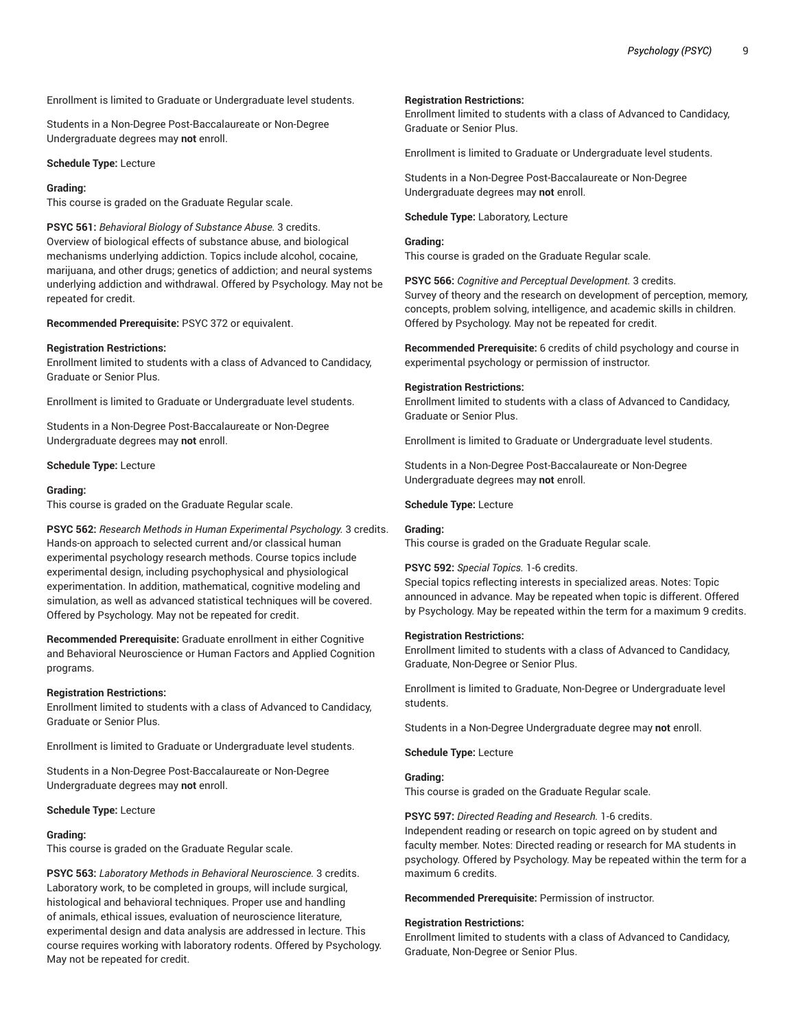Enrollment is limited to Graduate or Undergraduate level students.

Students in a Non-Degree Post-Baccalaureate or Non-Degree Undergraduate degrees may **not** enroll.

**Schedule Type:** Lecture

#### **Grading:**

This course is graded on the Graduate Regular scale.

**PSYC 561:** *Behavioral Biology of Substance Abuse.* 3 credits. Overview of biological effects of substance abuse, and biological mechanisms underlying addiction. Topics include alcohol, cocaine, marijuana, and other drugs; genetics of addiction; and neural systems underlying addiction and withdrawal. Offered by Psychology. May not be repeated for credit.

**Recommended Prerequisite:** PSYC 372 or equivalent.

#### **Registration Restrictions:**

Enrollment limited to students with a class of Advanced to Candidacy, Graduate or Senior Plus.

Enrollment is limited to Graduate or Undergraduate level students.

Students in a Non-Degree Post-Baccalaureate or Non-Degree Undergraduate degrees may **not** enroll.

**Schedule Type:** Lecture

#### **Grading:**

This course is graded on the Graduate Regular scale.

**PSYC 562:** *Research Methods in Human Experimental Psychology.* 3 credits. Hands-on approach to selected current and/or classical human experimental psychology research methods. Course topics include experimental design, including psychophysical and physiological experimentation. In addition, mathematical, cognitive modeling and simulation, as well as advanced statistical techniques will be covered. Offered by Psychology. May not be repeated for credit.

**Recommended Prerequisite:** Graduate enrollment in either Cognitive and Behavioral Neuroscience or Human Factors and Applied Cognition programs.

#### **Registration Restrictions:**

Enrollment limited to students with a class of Advanced to Candidacy, Graduate or Senior Plus.

Enrollment is limited to Graduate or Undergraduate level students.

Students in a Non-Degree Post-Baccalaureate or Non-Degree Undergraduate degrees may **not** enroll.

## **Schedule Type:** Lecture

#### **Grading:**

This course is graded on the Graduate Regular scale.

**PSYC 563:** *Laboratory Methods in Behavioral Neuroscience.* 3 credits. Laboratory work, to be completed in groups, will include surgical, histological and behavioral techniques. Proper use and handling of animals, ethical issues, evaluation of neuroscience literature, experimental design and data analysis are addressed in lecture. This course requires working with laboratory rodents. Offered by Psychology. May not be repeated for credit.

#### **Registration Restrictions:**

Enrollment limited to students with a class of Advanced to Candidacy, Graduate or Senior Plus.

Enrollment is limited to Graduate or Undergraduate level students.

Students in a Non-Degree Post-Baccalaureate or Non-Degree Undergraduate degrees may **not** enroll.

**Schedule Type:** Laboratory, Lecture

#### **Grading:**

This course is graded on the Graduate Regular scale.

**PSYC 566:** *Cognitive and Perceptual Development.* 3 credits. Survey of theory and the research on development of perception, memory, concepts, problem solving, intelligence, and academic skills in children. Offered by Psychology. May not be repeated for credit.

**Recommended Prerequisite:** 6 credits of child psychology and course in experimental psychology or permission of instructor.

#### **Registration Restrictions:**

Enrollment limited to students with a class of Advanced to Candidacy, Graduate or Senior Plus.

Enrollment is limited to Graduate or Undergraduate level students.

Students in a Non-Degree Post-Baccalaureate or Non-Degree Undergraduate degrees may **not** enroll.

**Schedule Type:** Lecture

## **Grading:**

This course is graded on the Graduate Regular scale.

#### **PSYC 592:** *Special Topics.* 1-6 credits.

Special topics reflecting interests in specialized areas. Notes: Topic announced in advance. May be repeated when topic is different. Offered by Psychology. May be repeated within the term for a maximum 9 credits.

#### **Registration Restrictions:**

Enrollment limited to students with a class of Advanced to Candidacy, Graduate, Non-Degree or Senior Plus.

Enrollment is limited to Graduate, Non-Degree or Undergraduate level students.

Students in a Non-Degree Undergraduate degree may **not** enroll.

**Schedule Type:** Lecture

#### **Grading:**

This course is graded on the Graduate Regular scale.

#### **PSYC 597:** *Directed Reading and Research.* 1-6 credits.

Independent reading or research on topic agreed on by student and faculty member. Notes: Directed reading or research for MA students in psychology. Offered by Psychology. May be repeated within the term for a maximum 6 credits.

**Recommended Prerequisite:** Permission of instructor.

#### **Registration Restrictions:**

Enrollment limited to students with a class of Advanced to Candidacy, Graduate, Non-Degree or Senior Plus.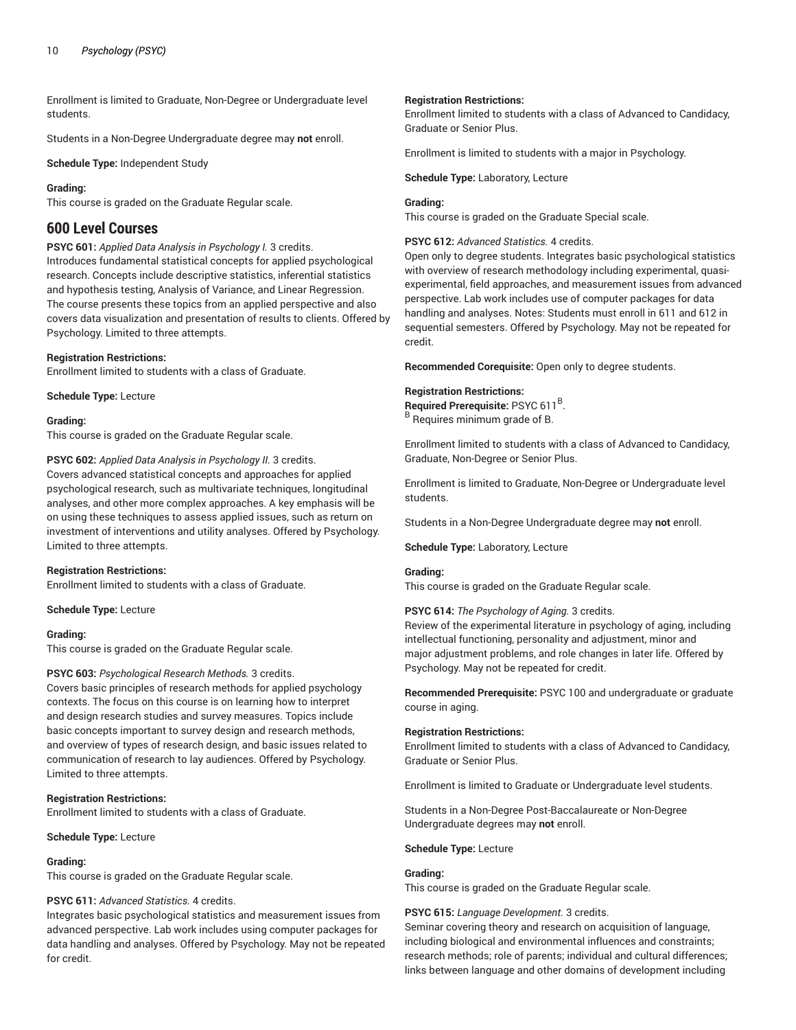Enrollment is limited to Graduate, Non-Degree or Undergraduate level students.

Students in a Non-Degree Undergraduate degree may **not** enroll.

**Schedule Type:** Independent Study

#### **Grading:**

This course is graded on the Graduate Regular scale.

# **600 Level Courses**

## **PSYC 601:** *Applied Data Analysis in Psychology I.* 3 credits.

Introduces fundamental statistical concepts for applied psychological research. Concepts include descriptive statistics, inferential statistics and hypothesis testing, Analysis of Variance, and Linear Regression. The course presents these topics from an applied perspective and also covers data visualization and presentation of results to clients. Offered by Psychology. Limited to three attempts.

#### **Registration Restrictions:**

Enrollment limited to students with a class of Graduate.

**Schedule Type:** Lecture

#### **Grading:**

This course is graded on the Graduate Regular scale.

**PSYC 602:** *Applied Data Analysis in Psychology II.* 3 credits. Covers advanced statistical concepts and approaches for applied psychological research, such as multivariate techniques, longitudinal analyses, and other more complex approaches. A key emphasis will be on using these techniques to assess applied issues, such as return on investment of interventions and utility analyses. Offered by Psychology. Limited to three attempts.

#### **Registration Restrictions:**

Enrollment limited to students with a class of Graduate.

**Schedule Type:** Lecture

#### **Grading:**

This course is graded on the Graduate Regular scale.

## **PSYC 603:** *Psychological Research Methods.* 3 credits.

Covers basic principles of research methods for applied psychology contexts. The focus on this course is on learning how to interpret and design research studies and survey measures. Topics include basic concepts important to survey design and research methods, and overview of types of research design, and basic issues related to communication of research to lay audiences. Offered by Psychology. Limited to three attempts.

#### **Registration Restrictions:**

Enrollment limited to students with a class of Graduate.

**Schedule Type:** Lecture

#### **Grading:**

This course is graded on the Graduate Regular scale.

#### **PSYC 611:** *Advanced Statistics.* 4 credits.

Integrates basic psychological statistics and measurement issues from advanced perspective. Lab work includes using computer packages for data handling and analyses. Offered by Psychology. May not be repeated for credit.

#### **Registration Restrictions:**

Enrollment limited to students with a class of Advanced to Candidacy, Graduate or Senior Plus.

Enrollment is limited to students with a major in Psychology.

**Schedule Type:** Laboratory, Lecture

#### **Grading:**

This course is graded on the Graduate Special scale.

## **PSYC 612:** *Advanced Statistics.* 4 credits.

Open only to degree students. Integrates basic psychological statistics with overview of research methodology including experimental, quasiexperimental, field approaches, and measurement issues from advanced perspective. Lab work includes use of computer packages for data handling and analyses. Notes: Students must enroll in 611 and 612 in sequential semesters. Offered by Psychology. May not be repeated for credit.

**Recommended Corequisite:** Open only to degree students.

#### **Registration Restrictions:**

**Required Prerequisite:** PSYC 611 B . B Requires minimum grade of B.

Enrollment limited to students with a class of Advanced to Candidacy, Graduate, Non-Degree or Senior Plus.

Enrollment is limited to Graduate, Non-Degree or Undergraduate level students.

Students in a Non-Degree Undergraduate degree may **not** enroll.

**Schedule Type:** Laboratory, Lecture

#### **Grading:**

This course is graded on the Graduate Regular scale.

**PSYC 614:** *The Psychology of Aging.* 3 credits.

Review of the experimental literature in psychology of aging, including intellectual functioning, personality and adjustment, minor and major adjustment problems, and role changes in later life. Offered by Psychology. May not be repeated for credit.

**Recommended Prerequisite:** PSYC 100 and undergraduate or graduate course in aging.

#### **Registration Restrictions:**

Enrollment limited to students with a class of Advanced to Candidacy, Graduate or Senior Plus.

Enrollment is limited to Graduate or Undergraduate level students.

Students in a Non-Degree Post-Baccalaureate or Non-Degree Undergraduate degrees may **not** enroll.

**Schedule Type:** Lecture

#### **Grading:**

This course is graded on the Graduate Regular scale.

#### **PSYC 615:** *Language Development.* 3 credits.

Seminar covering theory and research on acquisition of language, including biological and environmental influences and constraints; research methods; role of parents; individual and cultural differences; links between language and other domains of development including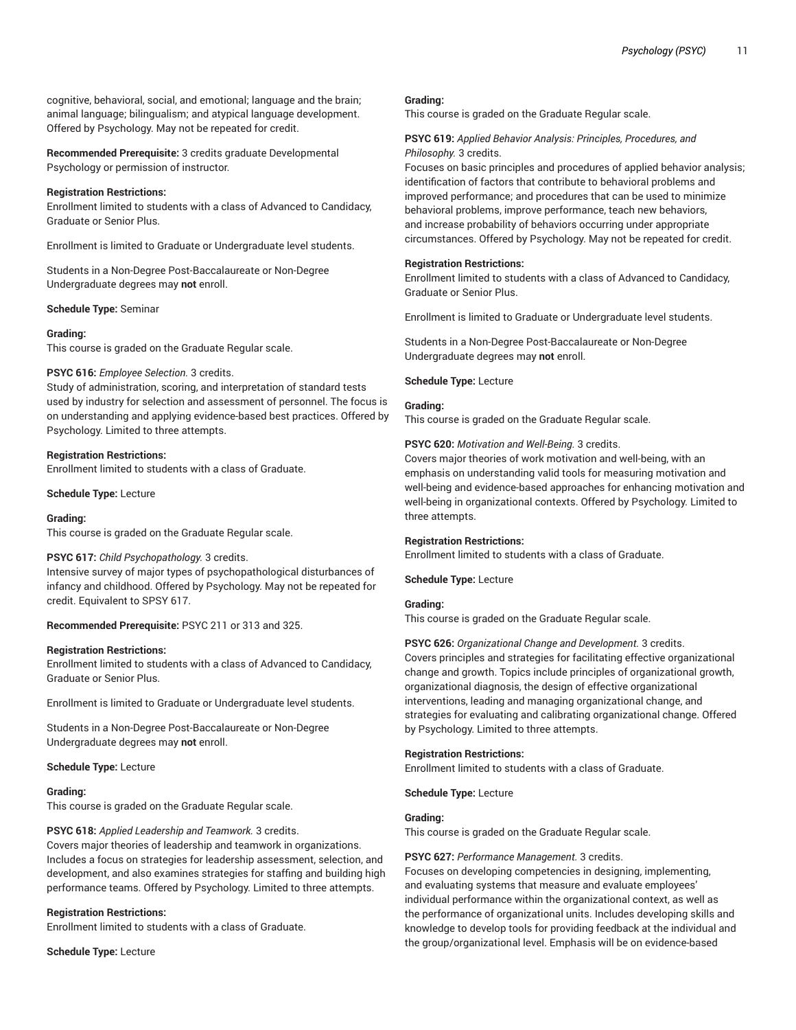cognitive, behavioral, social, and emotional; language and the brain; animal language; bilingualism; and atypical language development. Offered by Psychology. May not be repeated for credit.

**Recommended Prerequisite:** 3 credits graduate Developmental Psychology or permission of instructor.

#### **Registration Restrictions:**

Enrollment limited to students with a class of Advanced to Candidacy, Graduate or Senior Plus.

Enrollment is limited to Graduate or Undergraduate level students.

Students in a Non-Degree Post-Baccalaureate or Non-Degree Undergraduate degrees may **not** enroll.

**Schedule Type:** Seminar

#### **Grading:**

This course is graded on the Graduate Regular scale.

#### **PSYC 616:** *Employee Selection.* 3 credits.

Study of administration, scoring, and interpretation of standard tests used by industry for selection and assessment of personnel. The focus is on understanding and applying evidence-based best practices. Offered by Psychology. Limited to three attempts.

#### **Registration Restrictions:**

Enrollment limited to students with a class of Graduate.

**Schedule Type:** Lecture

#### **Grading:**

This course is graded on the Graduate Regular scale.

#### **PSYC 617:** *Child Psychopathology.* 3 credits.

Intensive survey of major types of psychopathological disturbances of infancy and childhood. Offered by Psychology. May not be repeated for credit. Equivalent to SPSY 617.

**Recommended Prerequisite:** PSYC 211 or 313 and 325.

#### **Registration Restrictions:**

Enrollment limited to students with a class of Advanced to Candidacy, Graduate or Senior Plus.

Enrollment is limited to Graduate or Undergraduate level students.

Students in a Non-Degree Post-Baccalaureate or Non-Degree Undergraduate degrees may **not** enroll.

#### **Schedule Type:** Lecture

#### **Grading:**

This course is graded on the Graduate Regular scale.

#### **PSYC 618:** *Applied Leadership and Teamwork.* 3 credits.

Covers major theories of leadership and teamwork in organizations. Includes a focus on strategies for leadership assessment, selection, and development, and also examines strategies for staffing and building high performance teams. Offered by Psychology. Limited to three attempts.

#### **Registration Restrictions:**

Enrollment limited to students with a class of Graduate.

**Schedule Type:** Lecture

#### **Grading:**

This course is graded on the Graduate Regular scale.

## **PSYC 619:** *Applied Behavior Analysis: Principles, Procedures, and Philosophy.* 3 credits.

Focuses on basic principles and procedures of applied behavior analysis; identification of factors that contribute to behavioral problems and improved performance; and procedures that can be used to minimize behavioral problems, improve performance, teach new behaviors, and increase probability of behaviors occurring under appropriate circumstances. Offered by Psychology. May not be repeated for credit.

#### **Registration Restrictions:**

Enrollment limited to students with a class of Advanced to Candidacy, Graduate or Senior Plus.

Enrollment is limited to Graduate or Undergraduate level students.

Students in a Non-Degree Post-Baccalaureate or Non-Degree Undergraduate degrees may **not** enroll.

#### **Schedule Type:** Lecture

## **Grading:**

This course is graded on the Graduate Regular scale.

**PSYC 620:** *Motivation and Well-Being.* 3 credits.

Covers major theories of work motivation and well-being, with an emphasis on understanding valid tools for measuring motivation and well-being and evidence-based approaches for enhancing motivation and well-being in organizational contexts. Offered by Psychology. Limited to three attempts.

#### **Registration Restrictions:**

Enrollment limited to students with a class of Graduate.

**Schedule Type:** Lecture

#### **Grading:**

This course is graded on the Graduate Regular scale.

## **PSYC 626:** *Organizational Change and Development.* 3 credits. Covers principles and strategies for facilitating effective organizational change and growth. Topics include principles of organizational growth, organizational diagnosis, the design of effective organizational interventions, leading and managing organizational change, and strategies for evaluating and calibrating organizational change. Offered by Psychology. Limited to three attempts.

#### **Registration Restrictions:**

Enrollment limited to students with a class of Graduate.

**Schedule Type:** Lecture

## **Grading:**

This course is graded on the Graduate Regular scale.

#### **PSYC 627:** *Performance Management.* 3 credits.

Focuses on developing competencies in designing, implementing, and evaluating systems that measure and evaluate employees' individual performance within the organizational context, as well as the performance of organizational units. Includes developing skills and knowledge to develop tools for providing feedback at the individual and the group/organizational level. Emphasis will be on evidence-based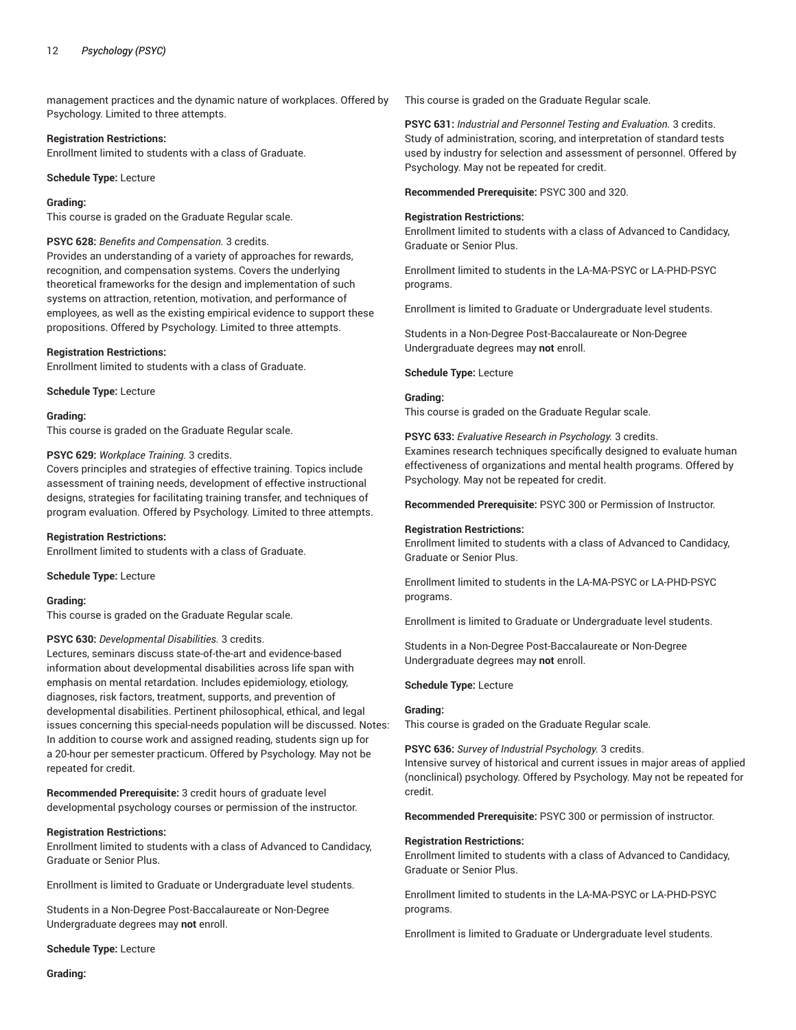management practices and the dynamic nature of workplaces. Offered by Psychology. Limited to three attempts.

#### **Registration Restrictions:**

Enrollment limited to students with a class of Graduate.

**Schedule Type:** Lecture

#### **Grading:**

This course is graded on the Graduate Regular scale.

#### **PSYC 628:** *Benefits and Compensation.* 3 credits.

Provides an understanding of a variety of approaches for rewards, recognition, and compensation systems. Covers the underlying theoretical frameworks for the design and implementation of such systems on attraction, retention, motivation, and performance of employees, as well as the existing empirical evidence to support these propositions. Offered by Psychology. Limited to three attempts.

#### **Registration Restrictions:**

Enrollment limited to students with a class of Graduate.

**Schedule Type:** Lecture

#### **Grading:**

This course is graded on the Graduate Regular scale.

#### **PSYC 629:** *Workplace Training.* 3 credits.

Covers principles and strategies of effective training. Topics include assessment of training needs, development of effective instructional designs, strategies for facilitating training transfer, and techniques of program evaluation. Offered by Psychology. Limited to three attempts.

#### **Registration Restrictions:**

Enrollment limited to students with a class of Graduate.

**Schedule Type:** Lecture

#### **Grading:**

This course is graded on the Graduate Regular scale.

#### **PSYC 630:** *Developmental Disabilities.* 3 credits.

Lectures, seminars discuss state-of-the-art and evidence-based information about developmental disabilities across life span with emphasis on mental retardation. Includes epidemiology, etiology, diagnoses, risk factors, treatment, supports, and prevention of developmental disabilities. Pertinent philosophical, ethical, and legal issues concerning this special-needs population will be discussed. Notes: In addition to course work and assigned reading, students sign up for a 20-hour per semester practicum. Offered by Psychology. May not be repeated for credit.

**Recommended Prerequisite:** 3 credit hours of graduate level developmental psychology courses or permission of the instructor.

#### **Registration Restrictions:**

Enrollment limited to students with a class of Advanced to Candidacy, Graduate or Senior Plus.

Enrollment is limited to Graduate or Undergraduate level students.

Students in a Non-Degree Post-Baccalaureate or Non-Degree Undergraduate degrees may **not** enroll.

**Schedule Type:** Lecture

This course is graded on the Graduate Regular scale.

**PSYC 631:** *Industrial and Personnel Testing and Evaluation.* 3 credits. Study of administration, scoring, and interpretation of standard tests used by industry for selection and assessment of personnel. Offered by Psychology. May not be repeated for credit.

**Recommended Prerequisite:** PSYC 300 and 320.

#### **Registration Restrictions:**

Enrollment limited to students with a class of Advanced to Candidacy, Graduate or Senior Plus.

Enrollment limited to students in the LA-MA-PSYC or LA-PHD-PSYC programs.

Enrollment is limited to Graduate or Undergraduate level students.

Students in a Non-Degree Post-Baccalaureate or Non-Degree Undergraduate degrees may **not** enroll.

**Schedule Type:** Lecture

#### **Grading:**

This course is graded on the Graduate Regular scale.

**PSYC 633:** *Evaluative Research in Psychology.* 3 credits. Examines research techniques specifically designed to evaluate human effectiveness of organizations and mental health programs. Offered by Psychology. May not be repeated for credit.

**Recommended Prerequisite:** PSYC 300 or Permission of Instructor.

#### **Registration Restrictions:**

Enrollment limited to students with a class of Advanced to Candidacy, Graduate or Senior Plus.

Enrollment limited to students in the LA-MA-PSYC or LA-PHD-PSYC programs.

Enrollment is limited to Graduate or Undergraduate level students.

Students in a Non-Degree Post-Baccalaureate or Non-Degree Undergraduate degrees may **not** enroll.

## **Schedule Type:** Lecture

#### **Grading:**

This course is graded on the Graduate Regular scale.

**PSYC 636:** *Survey of Industrial Psychology.* 3 credits. Intensive survey of historical and current issues in major areas of applied (nonclinical) psychology. Offered by Psychology. May not be repeated for credit.

**Recommended Prerequisite:** PSYC 300 or permission of instructor.

#### **Registration Restrictions:**

Enrollment limited to students with a class of Advanced to Candidacy, Graduate or Senior Plus.

Enrollment limited to students in the LA-MA-PSYC or LA-PHD-PSYC programs.

Enrollment is limited to Graduate or Undergraduate level students.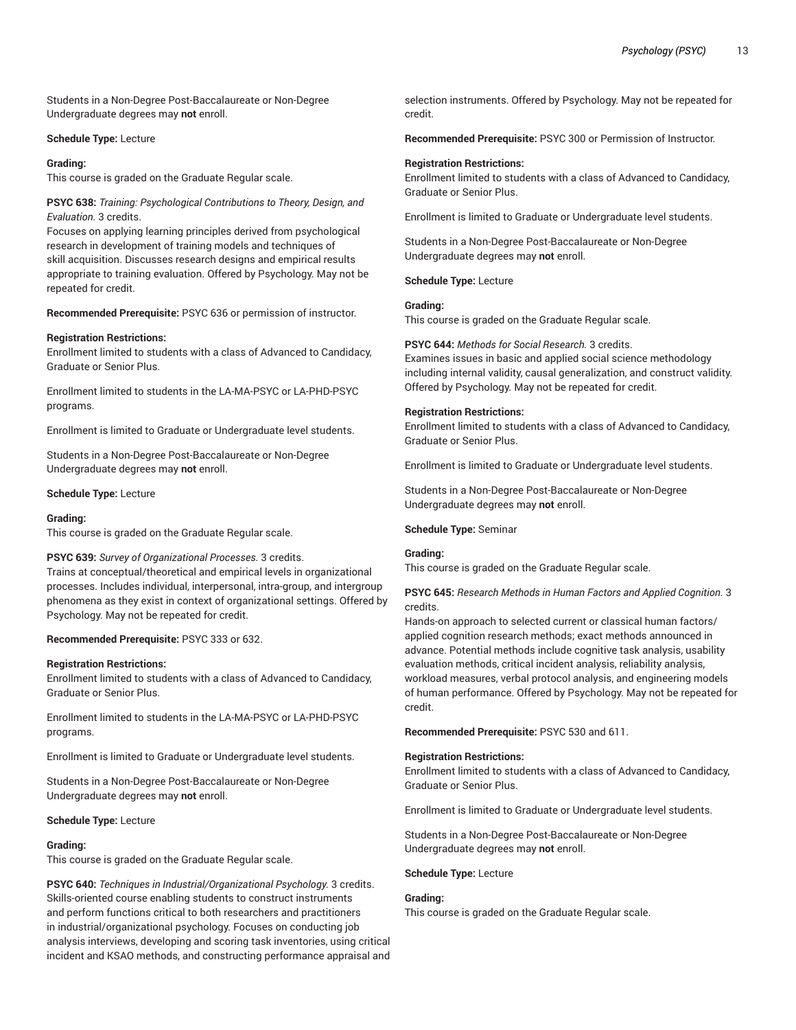Students in a Non-Degree Post-Baccalaureate or Non-Degree Undergraduate degrees may **not** enroll.

#### **Schedule Type:** Lecture

#### **Grading:**

This course is graded on the Graduate Regular scale.

## **PSYC 638:** *Training: Psychological Contributions to Theory, Design, and Evaluation.* 3 credits.

Focuses on applying learning principles derived from psychological research in development of training models and techniques of skill acquisition. Discusses research designs and empirical results appropriate to training evaluation. Offered by Psychology. May not be repeated for credit.

**Recommended Prerequisite:** PSYC 636 or permission of instructor.

#### **Registration Restrictions:**

Enrollment limited to students with a class of Advanced to Candidacy, Graduate or Senior Plus.

Enrollment limited to students in the LA-MA-PSYC or LA-PHD-PSYC programs.

Enrollment is limited to Graduate or Undergraduate level students.

Students in a Non-Degree Post-Baccalaureate or Non-Degree Undergraduate degrees may **not** enroll.

#### **Schedule Type:** Lecture

#### **Grading:**

This course is graded on the Graduate Regular scale.

#### **PSYC 639:** *Survey of Organizational Processes.* 3 credits.

Trains at conceptual/theoretical and empirical levels in organizational processes. Includes individual, interpersonal, intra-group, and intergroup phenomena as they exist in context of organizational settings. Offered by Psychology. May not be repeated for credit.

**Recommended Prerequisite:** PSYC 333 or 632.

#### **Registration Restrictions:**

Enrollment limited to students with a class of Advanced to Candidacy, Graduate or Senior Plus.

Enrollment limited to students in the LA-MA-PSYC or LA-PHD-PSYC programs.

Enrollment is limited to Graduate or Undergraduate level students.

Students in a Non-Degree Post-Baccalaureate or Non-Degree Undergraduate degrees may **not** enroll.

#### **Schedule Type:** Lecture

#### **Grading:**

This course is graded on the Graduate Regular scale.

**PSYC 640:** *Techniques in Industrial/Organizational Psychology.* 3 credits. Skills-oriented course enabling students to construct instruments and perform functions critical to both researchers and practitioners in industrial/organizational psychology. Focuses on conducting job analysis interviews, developing and scoring task inventories, using critical incident and KSAO methods, and constructing performance appraisal and

selection instruments. Offered by Psychology. May not be repeated for credit.

**Recommended Prerequisite:** PSYC 300 or Permission of Instructor.

#### **Registration Restrictions:**

Enrollment limited to students with a class of Advanced to Candidacy, Graduate or Senior Plus.

Enrollment is limited to Graduate or Undergraduate level students.

Students in a Non-Degree Post-Baccalaureate or Non-Degree Undergraduate degrees may **not** enroll.

**Schedule Type:** Lecture

## **Grading:**

This course is graded on the Graduate Regular scale.

## **PSYC 644:** *Methods for Social Research.* 3 credits.

Examines issues in basic and applied social science methodology including internal validity, causal generalization, and construct validity. Offered by Psychology. May not be repeated for credit.

#### **Registration Restrictions:**

Enrollment limited to students with a class of Advanced to Candidacy, Graduate or Senior Plus.

Enrollment is limited to Graduate or Undergraduate level students.

Students in a Non-Degree Post-Baccalaureate or Non-Degree Undergraduate degrees may **not** enroll.

#### **Schedule Type:** Seminar

#### **Grading:**

This course is graded on the Graduate Regular scale.

#### **PSYC 645:** *Research Methods in Human Factors and Applied Cognition.* 3 credits.

Hands-on approach to selected current or classical human factors/ applied cognition research methods; exact methods announced in advance. Potential methods include cognitive task analysis, usability evaluation methods, critical incident analysis, reliability analysis, workload measures, verbal protocol analysis, and engineering models of human performance. Offered by Psychology. May not be repeated for credit.

**Recommended Prerequisite:** PSYC 530 and 611.

#### **Registration Restrictions:**

Enrollment limited to students with a class of Advanced to Candidacy, Graduate or Senior Plus.

Enrollment is limited to Graduate or Undergraduate level students.

Students in a Non-Degree Post-Baccalaureate or Non-Degree Undergraduate degrees may **not** enroll.

#### **Schedule Type:** Lecture

## **Grading:**

This course is graded on the Graduate Regular scale.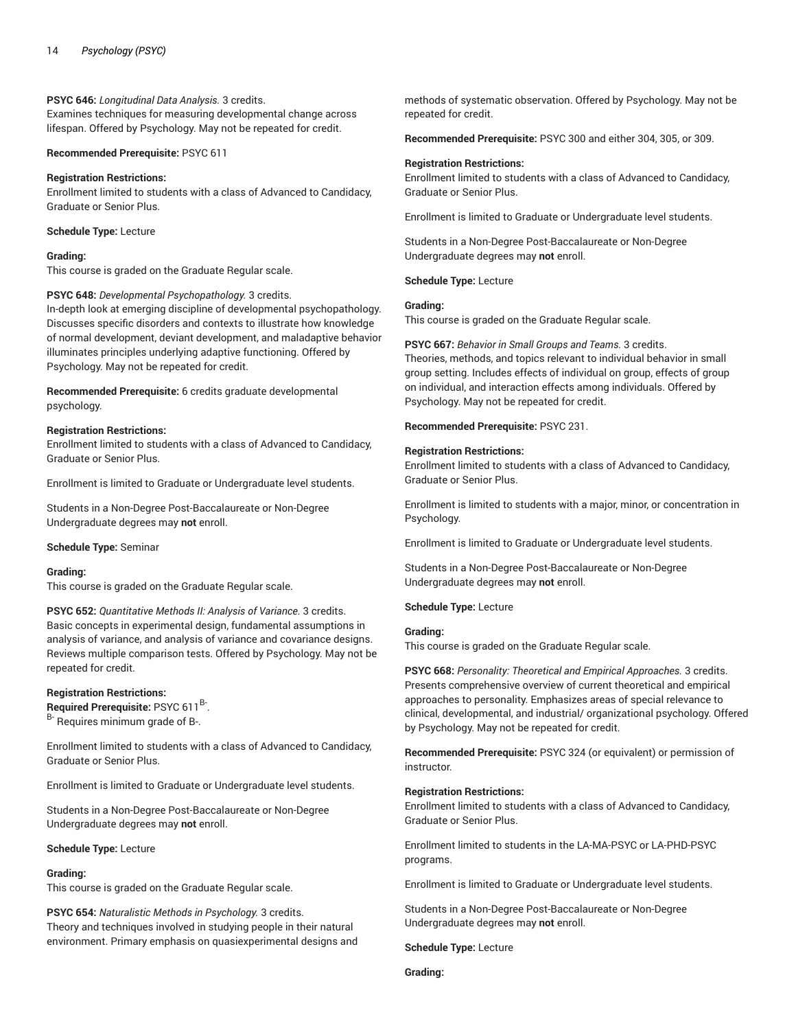## **PSYC 646:** *Longitudinal Data Analysis.* 3 credits.

Examines techniques for measuring developmental change across lifespan. Offered by Psychology. May not be repeated for credit.

**Recommended Prerequisite:** PSYC 611

## **Registration Restrictions:**

Enrollment limited to students with a class of Advanced to Candidacy, Graduate or Senior Plus.

#### **Schedule Type:** Lecture

## **Grading:**

This course is graded on the Graduate Regular scale.

## **PSYC 648:** *Developmental Psychopathology.* 3 credits.

In-depth look at emerging discipline of developmental psychopathology. Discusses specific disorders and contexts to illustrate how knowledge of normal development, deviant development, and maladaptive behavior illuminates principles underlying adaptive functioning. Offered by Psychology. May not be repeated for credit.

**Recommended Prerequisite:** 6 credits graduate developmental psychology.

#### **Registration Restrictions:**

Enrollment limited to students with a class of Advanced to Candidacy, Graduate or Senior Plus.

Enrollment is limited to Graduate or Undergraduate level students.

Students in a Non-Degree Post-Baccalaureate or Non-Degree Undergraduate degrees may **not** enroll.

## **Schedule Type:** Seminar

#### **Grading:**

This course is graded on the Graduate Regular scale.

**PSYC 652:** *Quantitative Methods II: Analysis of Variance.* 3 credits. Basic concepts in experimental design, fundamental assumptions in analysis of variance, and analysis of variance and covariance designs. Reviews multiple comparison tests. Offered by Psychology. May not be repeated for credit.

#### **Registration Restrictions:**

**Required Prerequisite:** PSYC 611 B- .

B- Requires minimum grade of B-.

Enrollment limited to students with a class of Advanced to Candidacy, Graduate or Senior Plus.

Enrollment is limited to Graduate or Undergraduate level students.

Students in a Non-Degree Post-Baccalaureate or Non-Degree Undergraduate degrees may **not** enroll.

**Schedule Type:** Lecture

#### **Grading:**

This course is graded on the Graduate Regular scale.

**PSYC 654:** *Naturalistic Methods in Psychology.* 3 credits. Theory and techniques involved in studying people in their natural environment. Primary emphasis on quasiexperimental designs and

methods of systematic observation. Offered by Psychology. May not be repeated for credit.

**Recommended Prerequisite:** PSYC 300 and either 304, 305, or 309.

#### **Registration Restrictions:**

Enrollment limited to students with a class of Advanced to Candidacy, Graduate or Senior Plus.

Enrollment is limited to Graduate or Undergraduate level students.

Students in a Non-Degree Post-Baccalaureate or Non-Degree Undergraduate degrees may **not** enroll.

#### **Schedule Type:** Lecture

## **Grading:**

This course is graded on the Graduate Regular scale.

**PSYC 667:** *Behavior in Small Groups and Teams.* 3 credits. Theories, methods, and topics relevant to individual behavior in small group setting. Includes effects of individual on group, effects of group on individual, and interaction effects among individuals. Offered by Psychology. May not be repeated for credit.

## **Recommended Prerequisite:** PSYC 231.

#### **Registration Restrictions:**

Enrollment limited to students with a class of Advanced to Candidacy, Graduate or Senior Plus.

Enrollment is limited to students with a major, minor, or concentration in Psychology.

Enrollment is limited to Graduate or Undergraduate level students.

Students in a Non-Degree Post-Baccalaureate or Non-Degree Undergraduate degrees may **not** enroll.

#### **Schedule Type:** Lecture

#### **Grading:**

This course is graded on the Graduate Regular scale.

**PSYC 668:** *Personality: Theoretical and Empirical Approaches.* 3 credits. Presents comprehensive overview of current theoretical and empirical approaches to personality. Emphasizes areas of special relevance to clinical, developmental, and industrial/ organizational psychology. Offered by Psychology. May not be repeated for credit.

**Recommended Prerequisite:** PSYC 324 (or equivalent) or permission of instructor.

#### **Registration Restrictions:**

Enrollment limited to students with a class of Advanced to Candidacy, Graduate or Senior Plus.

Enrollment limited to students in the LA-MA-PSYC or LA-PHD-PSYC programs.

Enrollment is limited to Graduate or Undergraduate level students.

Students in a Non-Degree Post-Baccalaureate or Non-Degree Undergraduate degrees may **not** enroll.

**Schedule Type:** Lecture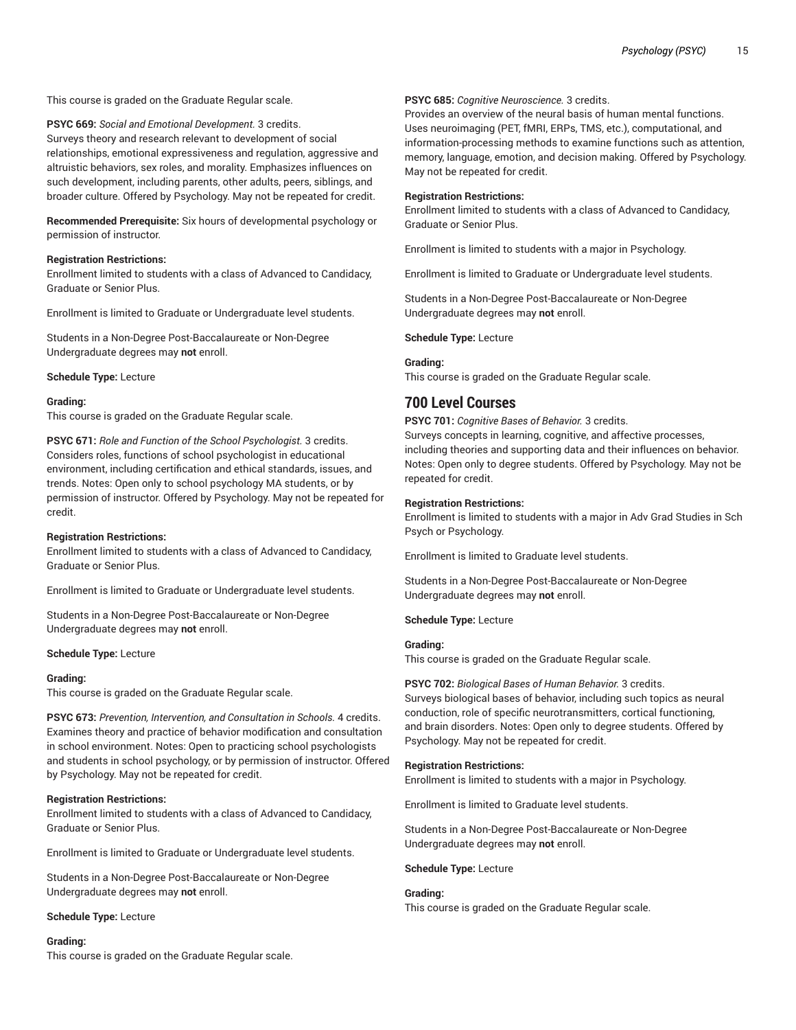This course is graded on the Graduate Regular scale.

**PSYC 669:** *Social and Emotional Development.* 3 credits. Surveys theory and research relevant to development of social relationships, emotional expressiveness and regulation, aggressive and altruistic behaviors, sex roles, and morality. Emphasizes influences on such development, including parents, other adults, peers, siblings, and broader culture. Offered by Psychology. May not be repeated for credit.

**Recommended Prerequisite:** Six hours of developmental psychology or permission of instructor.

#### **Registration Restrictions:**

Enrollment limited to students with a class of Advanced to Candidacy, Graduate or Senior Plus.

Enrollment is limited to Graduate or Undergraduate level students.

Students in a Non-Degree Post-Baccalaureate or Non-Degree Undergraduate degrees may **not** enroll.

**Schedule Type:** Lecture

#### **Grading:**

This course is graded on the Graduate Regular scale.

**PSYC 671:** *Role and Function of the School Psychologist.* 3 credits. Considers roles, functions of school psychologist in educational environment, including certification and ethical standards, issues, and trends. Notes: Open only to school psychology MA students, or by permission of instructor. Offered by Psychology. May not be repeated for credit.

#### **Registration Restrictions:**

Enrollment limited to students with a class of Advanced to Candidacy, Graduate or Senior Plus.

Enrollment is limited to Graduate or Undergraduate level students.

Students in a Non-Degree Post-Baccalaureate or Non-Degree Undergraduate degrees may **not** enroll.

#### **Schedule Type:** Lecture

#### **Grading:**

This course is graded on the Graduate Regular scale.

**PSYC 673:** *Prevention, Intervention, and Consultation in Schools.* 4 credits. Examines theory and practice of behavior modification and consultation in school environment. Notes: Open to practicing school psychologists and students in school psychology, or by permission of instructor. Offered by Psychology. May not be repeated for credit.

#### **Registration Restrictions:**

Enrollment limited to students with a class of Advanced to Candidacy, Graduate or Senior Plus.

Enrollment is limited to Graduate or Undergraduate level students.

Students in a Non-Degree Post-Baccalaureate or Non-Degree Undergraduate degrees may **not** enroll.

#### **Schedule Type:** Lecture

#### **Grading:**

This course is graded on the Graduate Regular scale.

## **PSYC 685:** *Cognitive Neuroscience.* 3 credits.

Provides an overview of the neural basis of human mental functions. Uses neuroimaging (PET, fMRI, ERPs, TMS, etc.), computational, and information-processing methods to examine functions such as attention, memory, language, emotion, and decision making. Offered by Psychology. May not be repeated for credit.

#### **Registration Restrictions:**

Enrollment limited to students with a class of Advanced to Candidacy, Graduate or Senior Plus.

Enrollment is limited to students with a major in Psychology.

Enrollment is limited to Graduate or Undergraduate level students.

Students in a Non-Degree Post-Baccalaureate or Non-Degree Undergraduate degrees may **not** enroll.

**Schedule Type:** Lecture

## **Grading:**

This course is graded on the Graduate Regular scale.

# **700 Level Courses**

**PSYC 701:** *Cognitive Bases of Behavior.* 3 credits. Surveys concepts in learning, cognitive, and affective processes, including theories and supporting data and their influences on behavior. Notes: Open only to degree students. Offered by Psychology. May not be repeated for credit.

#### **Registration Restrictions:**

Enrollment is limited to students with a major in Adv Grad Studies in Sch Psych or Psychology.

Enrollment is limited to Graduate level students.

Students in a Non-Degree Post-Baccalaureate or Non-Degree Undergraduate degrees may **not** enroll.

**Schedule Type:** Lecture

## **Grading:**

This course is graded on the Graduate Regular scale.

#### **PSYC 702:** *Biological Bases of Human Behavior.* 3 credits.

Surveys biological bases of behavior, including such topics as neural conduction, role of specific neurotransmitters, cortical functioning, and brain disorders. Notes: Open only to degree students. Offered by Psychology. May not be repeated for credit.

#### **Registration Restrictions:**

Enrollment is limited to students with a major in Psychology.

Enrollment is limited to Graduate level students.

Students in a Non-Degree Post-Baccalaureate or Non-Degree Undergraduate degrees may **not** enroll.

#### **Schedule Type:** Lecture

#### **Grading:**

This course is graded on the Graduate Regular scale.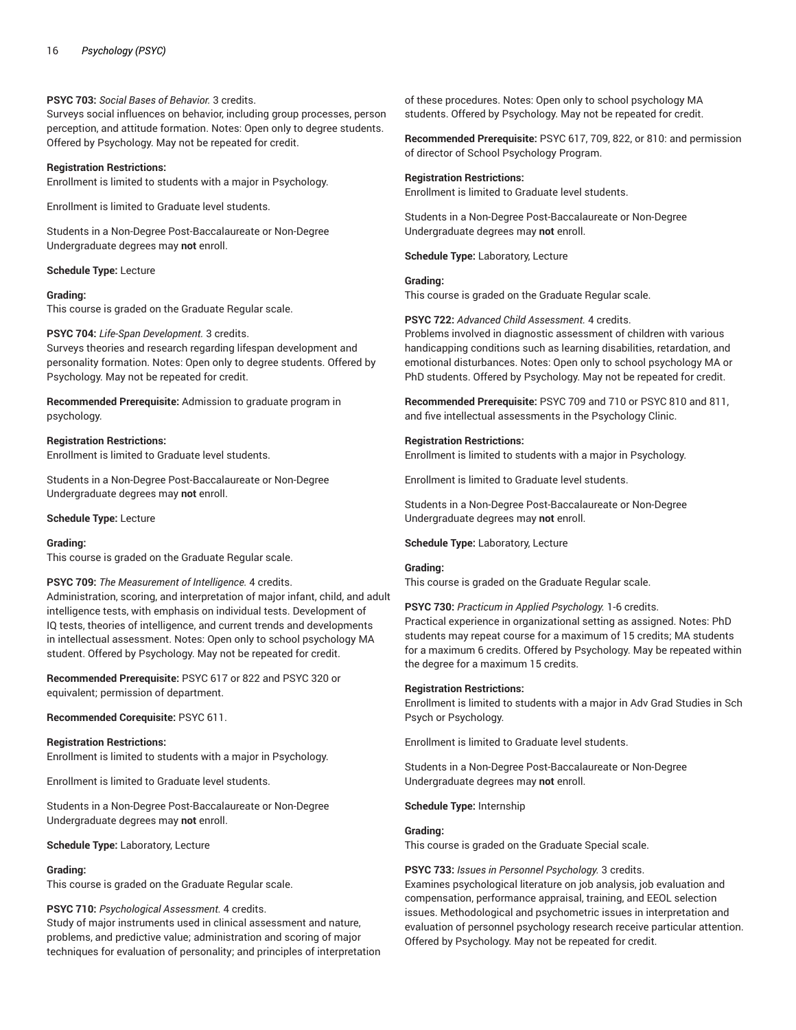## **PSYC 703:** *Social Bases of Behavior.* 3 credits.

Surveys social influences on behavior, including group processes, person perception, and attitude formation. Notes: Open only to degree students. Offered by Psychology. May not be repeated for credit.

#### **Registration Restrictions:**

Enrollment is limited to students with a major in Psychology.

Enrollment is limited to Graduate level students.

Students in a Non-Degree Post-Baccalaureate or Non-Degree Undergraduate degrees may **not** enroll.

**Schedule Type:** Lecture

#### **Grading:**

This course is graded on the Graduate Regular scale.

#### **PSYC 704:** *Life-Span Development.* 3 credits.

Surveys theories and research regarding lifespan development and personality formation. Notes: Open only to degree students. Offered by Psychology. May not be repeated for credit.

**Recommended Prerequisite:** Admission to graduate program in psychology.

**Registration Restrictions:** Enrollment is limited to Graduate level students.

Students in a Non-Degree Post-Baccalaureate or Non-Degree Undergraduate degrees may **not** enroll.

**Schedule Type:** Lecture

## **Grading:**

This course is graded on the Graduate Regular scale.

#### **PSYC 709:** *The Measurement of Intelligence.* 4 credits.

Administration, scoring, and interpretation of major infant, child, and adult intelligence tests, with emphasis on individual tests. Development of IQ tests, theories of intelligence, and current trends and developments in intellectual assessment. Notes: Open only to school psychology MA student. Offered by Psychology. May not be repeated for credit.

**Recommended Prerequisite:** PSYC 617 or 822 and PSYC 320 or equivalent; permission of department.

**Recommended Corequisite:** PSYC 611.

#### **Registration Restrictions:**

Enrollment is limited to students with a major in Psychology.

Enrollment is limited to Graduate level students.

Students in a Non-Degree Post-Baccalaureate or Non-Degree Undergraduate degrees may **not** enroll.

**Schedule Type:** Laboratory, Lecture

#### **Grading:**

This course is graded on the Graduate Regular scale.

#### **PSYC 710:** *Psychological Assessment.* 4 credits.

Study of major instruments used in clinical assessment and nature, problems, and predictive value; administration and scoring of major techniques for evaluation of personality; and principles of interpretation of these procedures. Notes: Open only to school psychology MA students. Offered by Psychology. May not be repeated for credit.

**Recommended Prerequisite:** PSYC 617, 709, 822, or 810: and permission of director of School Psychology Program.

#### **Registration Restrictions:**

Enrollment is limited to Graduate level students.

Students in a Non-Degree Post-Baccalaureate or Non-Degree Undergraduate degrees may **not** enroll.

**Schedule Type:** Laboratory, Lecture

## **Grading:**

This course is graded on the Graduate Regular scale.

## **PSYC 722:** *Advanced Child Assessment.* 4 credits.

Problems involved in diagnostic assessment of children with various handicapping conditions such as learning disabilities, retardation, and emotional disturbances. Notes: Open only to school psychology MA or PhD students. Offered by Psychology. May not be repeated for credit.

**Recommended Prerequisite:** PSYC 709 and 710 or PSYC 810 and 811, and five intellectual assessments in the Psychology Clinic.

#### **Registration Restrictions:**

Enrollment is limited to students with a major in Psychology.

Enrollment is limited to Graduate level students.

Students in a Non-Degree Post-Baccalaureate or Non-Degree Undergraduate degrees may **not** enroll.

**Schedule Type:** Laboratory, Lecture

#### **Grading:**

This course is graded on the Graduate Regular scale.

**PSYC 730:** *Practicum in Applied Psychology.* 1-6 credits.

Practical experience in organizational setting as assigned. Notes: PhD students may repeat course for a maximum of 15 credits; MA students for a maximum 6 credits. Offered by Psychology. May be repeated within the degree for a maximum 15 credits.

#### **Registration Restrictions:**

Enrollment is limited to students with a major in Adv Grad Studies in Sch Psych or Psychology.

Enrollment is limited to Graduate level students.

Students in a Non-Degree Post-Baccalaureate or Non-Degree Undergraduate degrees may **not** enroll.

**Schedule Type:** Internship

#### **Grading:**

This course is graded on the Graduate Special scale.

#### **PSYC 733:** *Issues in Personnel Psychology.* 3 credits.

Examines psychological literature on job analysis, job evaluation and compensation, performance appraisal, training, and EEOL selection issues. Methodological and psychometric issues in interpretation and evaluation of personnel psychology research receive particular attention. Offered by Psychology. May not be repeated for credit.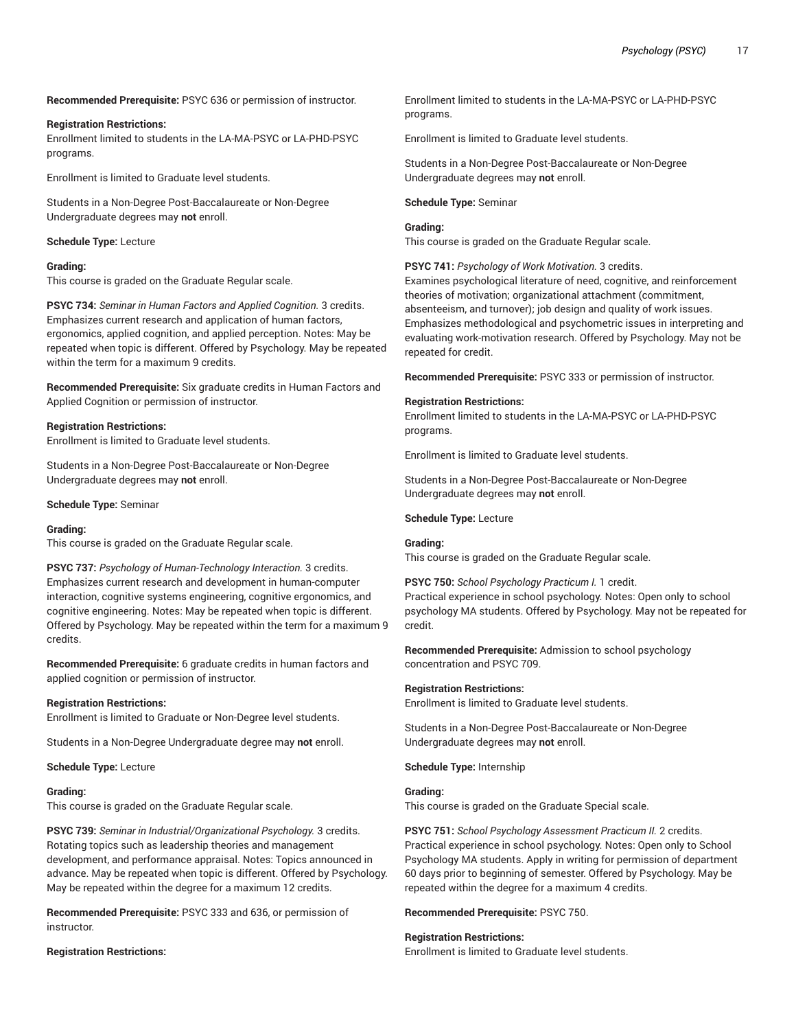**Recommended Prerequisite:** PSYC 636 or permission of instructor.

#### **Registration Restrictions:**

Enrollment limited to students in the LA-MA-PSYC or LA-PHD-PSYC programs.

Enrollment is limited to Graduate level students.

Students in a Non-Degree Post-Baccalaureate or Non-Degree Undergraduate degrees may **not** enroll.

#### **Schedule Type:** Lecture

#### **Grading:**

This course is graded on the Graduate Regular scale.

**PSYC 734:** *Seminar in Human Factors and Applied Cognition.* 3 credits. Emphasizes current research and application of human factors, ergonomics, applied cognition, and applied perception. Notes: May be repeated when topic is different. Offered by Psychology. May be repeated within the term for a maximum 9 credits.

**Recommended Prerequisite:** Six graduate credits in Human Factors and Applied Cognition or permission of instructor.

## **Registration Restrictions:**

Enrollment is limited to Graduate level students.

Students in a Non-Degree Post-Baccalaureate or Non-Degree Undergraduate degrees may **not** enroll.

**Schedule Type:** Seminar

#### **Grading:**

This course is graded on the Graduate Regular scale.

**PSYC 737:** *Psychology of Human-Technology Interaction.* 3 credits. Emphasizes current research and development in human-computer interaction, cognitive systems engineering, cognitive ergonomics, and cognitive engineering. Notes: May be repeated when topic is different. Offered by Psychology. May be repeated within the term for a maximum 9 credits.

**Recommended Prerequisite:** 6 graduate credits in human factors and applied cognition or permission of instructor.

#### **Registration Restrictions:**

Enrollment is limited to Graduate or Non-Degree level students.

Students in a Non-Degree Undergraduate degree may **not** enroll.

**Schedule Type:** Lecture

#### **Grading:**

This course is graded on the Graduate Regular scale.

**PSYC 739:** *Seminar in Industrial/Organizational Psychology.* 3 credits. Rotating topics such as leadership theories and management development, and performance appraisal. Notes: Topics announced in advance. May be repeated when topic is different. Offered by Psychology. May be repeated within the degree for a maximum 12 credits.

**Recommended Prerequisite:** PSYC 333 and 636, or permission of instructor.

#### **Registration Restrictions:**

Enrollment limited to students in the LA-MA-PSYC or LA-PHD-PSYC programs.

Enrollment is limited to Graduate level students.

Students in a Non-Degree Post-Baccalaureate or Non-Degree Undergraduate degrees may **not** enroll.

**Schedule Type:** Seminar

## **Grading:**

This course is graded on the Graduate Regular scale.

**PSYC 741:** *Psychology of Work Motivation.* 3 credits.

Examines psychological literature of need, cognitive, and reinforcement theories of motivation; organizational attachment (commitment, absenteeism, and turnover); job design and quality of work issues. Emphasizes methodological and psychometric issues in interpreting and evaluating work-motivation research. Offered by Psychology. May not be repeated for credit.

**Recommended Prerequisite:** PSYC 333 or permission of instructor.

#### **Registration Restrictions:**

Enrollment limited to students in the LA-MA-PSYC or LA-PHD-PSYC programs.

Enrollment is limited to Graduate level students.

Students in a Non-Degree Post-Baccalaureate or Non-Degree Undergraduate degrees may **not** enroll.

## **Schedule Type:** Lecture

**Grading:**

This course is graded on the Graduate Regular scale.

**PSYC 750:** *School Psychology Practicum I.* 1 credit.

Practical experience in school psychology. Notes: Open only to school psychology MA students. Offered by Psychology. May not be repeated for credit.

**Recommended Prerequisite:** Admission to school psychology concentration and PSYC 709.

## **Registration Restrictions:**

Enrollment is limited to Graduate level students.

Students in a Non-Degree Post-Baccalaureate or Non-Degree Undergraduate degrees may **not** enroll.

**Schedule Type:** Internship

## **Grading:**

This course is graded on the Graduate Special scale.

**PSYC 751:** *School Psychology Assessment Practicum II.* 2 credits. Practical experience in school psychology. Notes: Open only to School Psychology MA students. Apply in writing for permission of department 60 days prior to beginning of semester. Offered by Psychology. May be repeated within the degree for a maximum 4 credits.

**Recommended Prerequisite:** PSYC 750.

#### **Registration Restrictions:**

Enrollment is limited to Graduate level students.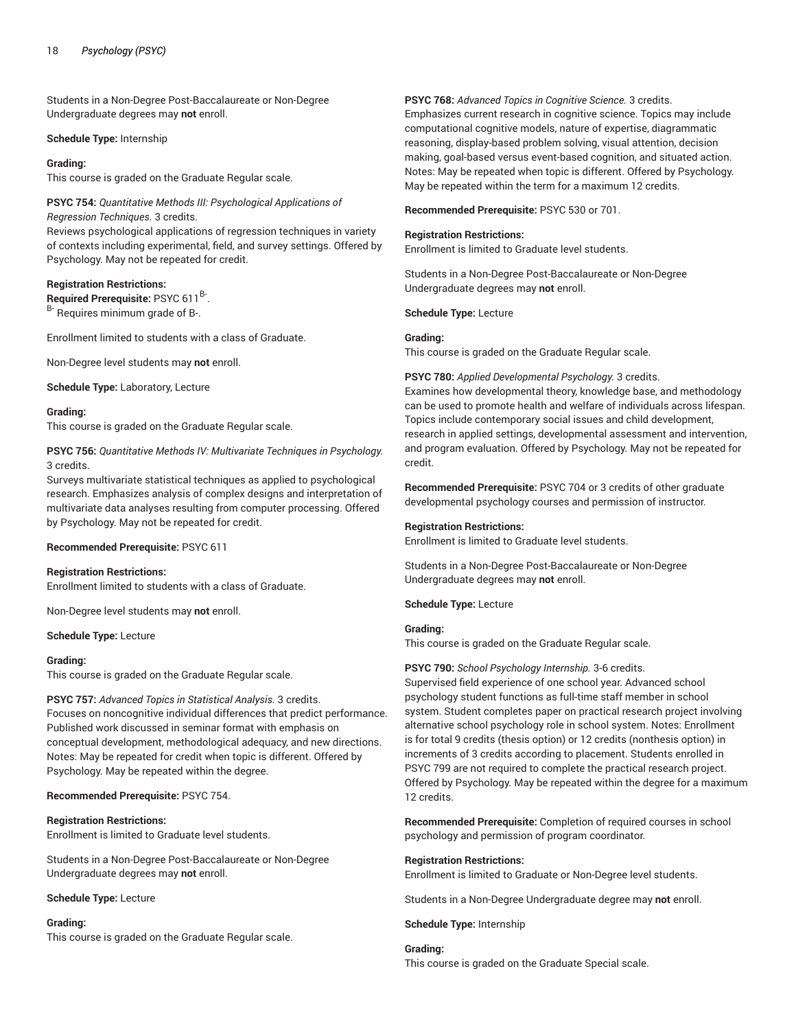Students in a Non-Degree Post-Baccalaureate or Non-Degree Undergraduate degrees may **not** enroll.

#### **Schedule Type:** Internship

#### **Grading:**

This course is graded on the Graduate Regular scale.

**PSYC 754:** *Quantitative Methods III: Psychological Applications of Regression Techniques.* 3 credits.

Reviews psychological applications of regression techniques in variety of contexts including experimental, field, and survey settings. Offered by Psychology. May not be repeated for credit.

#### **Registration Restrictions:**

**Required Prerequisite:** PSYC 611 B- . B- Requires minimum grade of B-.

Enrollment limited to students with a class of Graduate.

Non-Degree level students may **not** enroll.

**Schedule Type:** Laboratory, Lecture

#### **Grading:**

This course is graded on the Graduate Regular scale.

## **PSYC 756:** *Quantitative Methods IV: Multivariate Techniques in Psychology.* 3 credits.

Surveys multivariate statistical techniques as applied to psychological research. Emphasizes analysis of complex designs and interpretation of multivariate data analyses resulting from computer processing. Offered by Psychology. May not be repeated for credit.

#### **Recommended Prerequisite:** PSYC 611

#### **Registration Restrictions:**

Enrollment limited to students with a class of Graduate.

Non-Degree level students may **not** enroll.

#### **Schedule Type:** Lecture

#### **Grading:**

This course is graded on the Graduate Regular scale.

**PSYC 757:** *Advanced Topics in Statistical Analysis.* 3 credits. Focuses on noncognitive individual differences that predict performance. Published work discussed in seminar format with emphasis on conceptual development, methodological adequacy, and new directions. Notes: May be repeated for credit when topic is different. Offered by Psychology. May be repeated within the degree.

#### **Recommended Prerequisite:** PSYC 754.

# **Registration Restrictions:**

Enrollment is limited to Graduate level students.

Students in a Non-Degree Post-Baccalaureate or Non-Degree Undergraduate degrees may **not** enroll.

#### **Schedule Type:** Lecture

#### **Grading:**

This course is graded on the Graduate Regular scale.

#### **PSYC 768:** *Advanced Topics in Cognitive Science.* 3 credits.

Emphasizes current research in cognitive science. Topics may include computational cognitive models, nature of expertise, diagrammatic reasoning, display-based problem solving, visual attention, decision making, goal-based versus event-based cognition, and situated action. Notes: May be repeated when topic is different. Offered by Psychology. May be repeated within the term for a maximum 12 credits.

**Recommended Prerequisite:** PSYC 530 or 701.

#### **Registration Restrictions:**

Enrollment is limited to Graduate level students.

Students in a Non-Degree Post-Baccalaureate or Non-Degree Undergraduate degrees may **not** enroll.

**Schedule Type:** Lecture

#### **Grading:**

This course is graded on the Graduate Regular scale.

#### **PSYC 780:** *Applied Developmental Psychology.* 3 credits.

Examines how developmental theory, knowledge base, and methodology can be used to promote health and welfare of individuals across lifespan. Topics include contemporary social issues and child development, research in applied settings, developmental assessment and intervention, and program evaluation. Offered by Psychology. May not be repeated for credit.

**Recommended Prerequisite:** PSYC 704 or 3 credits of other graduate developmental psychology courses and permission of instructor.

#### **Registration Restrictions:**

Enrollment is limited to Graduate level students.

Students in a Non-Degree Post-Baccalaureate or Non-Degree Undergraduate degrees may **not** enroll.

#### **Schedule Type:** Lecture

#### **Grading:**

This course is graded on the Graduate Regular scale.

#### **PSYC 790:** *School Psychology Internship.* 3-6 credits.

Supervised field experience of one school year. Advanced school psychology student functions as full-time staff member in school system. Student completes paper on practical research project involving alternative school psychology role in school system. Notes: Enrollment is for total 9 credits (thesis option) or 12 credits (nonthesis option) in increments of 3 credits according to placement. Students enrolled in PSYC 799 are not required to complete the practical research project. Offered by Psychology. May be repeated within the degree for a maximum 12 credits.

**Recommended Prerequisite:** Completion of required courses in school psychology and permission of program coordinator.

#### **Registration Restrictions:**

Enrollment is limited to Graduate or Non-Degree level students.

Students in a Non-Degree Undergraduate degree may **not** enroll.

**Schedule Type:** Internship

# **Grading:**

This course is graded on the Graduate Special scale.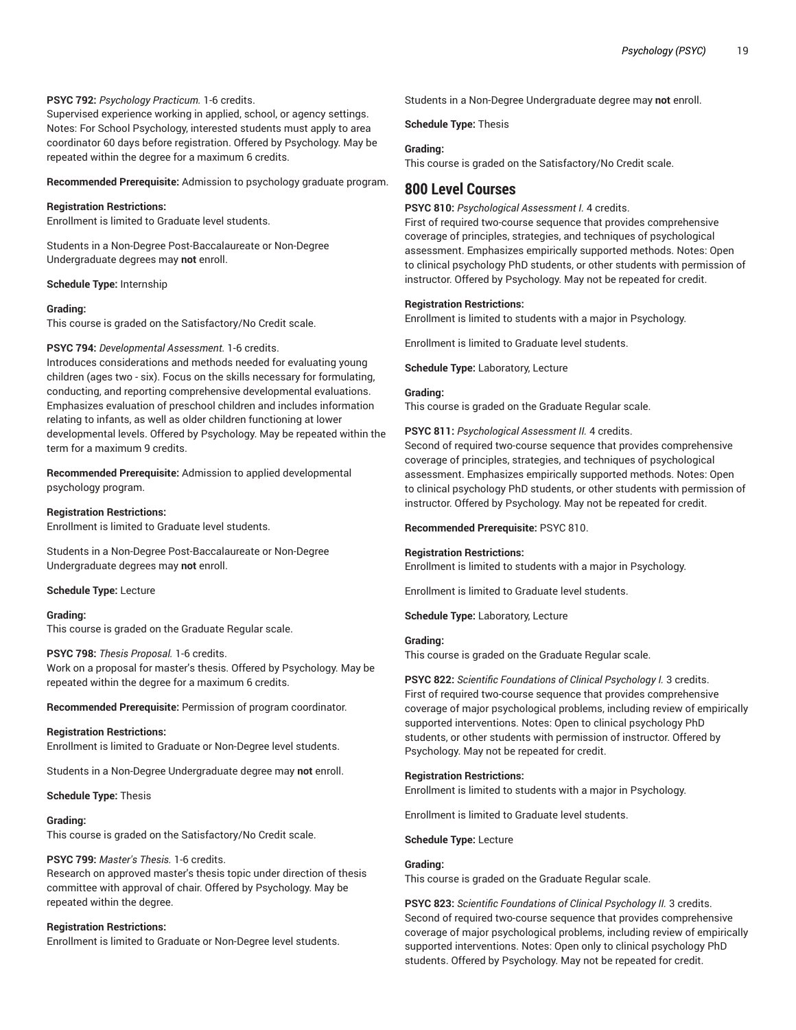## **PSYC 792:** *Psychology Practicum.* 1-6 credits.

Supervised experience working in applied, school, or agency settings. Notes: For School Psychology, interested students must apply to area coordinator 60 days before registration. Offered by Psychology. May be repeated within the degree for a maximum 6 credits.

**Recommended Prerequisite:** Admission to psychology graduate program.

#### **Registration Restrictions:**

Enrollment is limited to Graduate level students.

Students in a Non-Degree Post-Baccalaureate or Non-Degree Undergraduate degrees may **not** enroll.

## **Schedule Type:** Internship

#### **Grading:**

This course is graded on the Satisfactory/No Credit scale.

#### **PSYC 794:** *Developmental Assessment.* 1-6 credits.

Introduces considerations and methods needed for evaluating young children (ages two - six). Focus on the skills necessary for formulating, conducting, and reporting comprehensive developmental evaluations. Emphasizes evaluation of preschool children and includes information relating to infants, as well as older children functioning at lower developmental levels. Offered by Psychology. May be repeated within the term for a maximum 9 credits.

**Recommended Prerequisite:** Admission to applied developmental psychology program.

#### **Registration Restrictions:**

Enrollment is limited to Graduate level students.

Students in a Non-Degree Post-Baccalaureate or Non-Degree Undergraduate degrees may **not** enroll.

#### **Schedule Type:** Lecture

#### **Grading:**

This course is graded on the Graduate Regular scale.

#### **PSYC 798:** *Thesis Proposal.* 1-6 credits.

Work on a proposal for master's thesis. Offered by Psychology. May be repeated within the degree for a maximum 6 credits.

**Recommended Prerequisite:** Permission of program coordinator.

#### **Registration Restrictions:**

Enrollment is limited to Graduate or Non-Degree level students.

Students in a Non-Degree Undergraduate degree may **not** enroll.

#### **Schedule Type:** Thesis

#### **Grading:**

This course is graded on the Satisfactory/No Credit scale.

## **PSYC 799:** *Master's Thesis.* 1-6 credits.

Research on approved master's thesis topic under direction of thesis committee with approval of chair. Offered by Psychology. May be repeated within the degree.

#### **Registration Restrictions:**

Enrollment is limited to Graduate or Non-Degree level students.

Students in a Non-Degree Undergraduate degree may **not** enroll.

#### **Schedule Type:** Thesis

#### **Grading:**

This course is graded on the Satisfactory/No Credit scale.

# **800 Level Courses**

#### **PSYC 810:** *Psychological Assessment I.* 4 credits.

First of required two-course sequence that provides comprehensive coverage of principles, strategies, and techniques of psychological assessment. Emphasizes empirically supported methods. Notes: Open to clinical psychology PhD students, or other students with permission of instructor. Offered by Psychology. May not be repeated for credit.

#### **Registration Restrictions:**

Enrollment is limited to students with a major in Psychology.

Enrollment is limited to Graduate level students.

**Schedule Type:** Laboratory, Lecture

## **Grading:**

This course is graded on the Graduate Regular scale.

#### **PSYC 811:** *Psychological Assessment II.* 4 credits.

Second of required two-course sequence that provides comprehensive coverage of principles, strategies, and techniques of psychological assessment. Emphasizes empirically supported methods. Notes: Open to clinical psychology PhD students, or other students with permission of instructor. Offered by Psychology. May not be repeated for credit.

#### **Recommended Prerequisite:** PSYC 810.

## **Registration Restrictions:**

Enrollment is limited to students with a major in Psychology.

Enrollment is limited to Graduate level students.

**Schedule Type:** Laboratory, Lecture

#### **Grading:**

This course is graded on the Graduate Regular scale.

## **PSYC 822:** *Scientific Foundations of Clinical Psychology I.* 3 credits. First of required two-course sequence that provides comprehensive coverage of major psychological problems, including review of empirically supported interventions. Notes: Open to clinical psychology PhD students, or other students with permission of instructor. Offered by Psychology. May not be repeated for credit.

#### **Registration Restrictions:**

Enrollment is limited to students with a major in Psychology.

Enrollment is limited to Graduate level students.

**Schedule Type:** Lecture

#### **Grading:**

This course is graded on the Graduate Regular scale.

**PSYC 823:** *Scientific Foundations of Clinical Psychology II.* 3 credits. Second of required two-course sequence that provides comprehensive coverage of major psychological problems, including review of empirically supported interventions. Notes: Open only to clinical psychology PhD students. Offered by Psychology. May not be repeated for credit.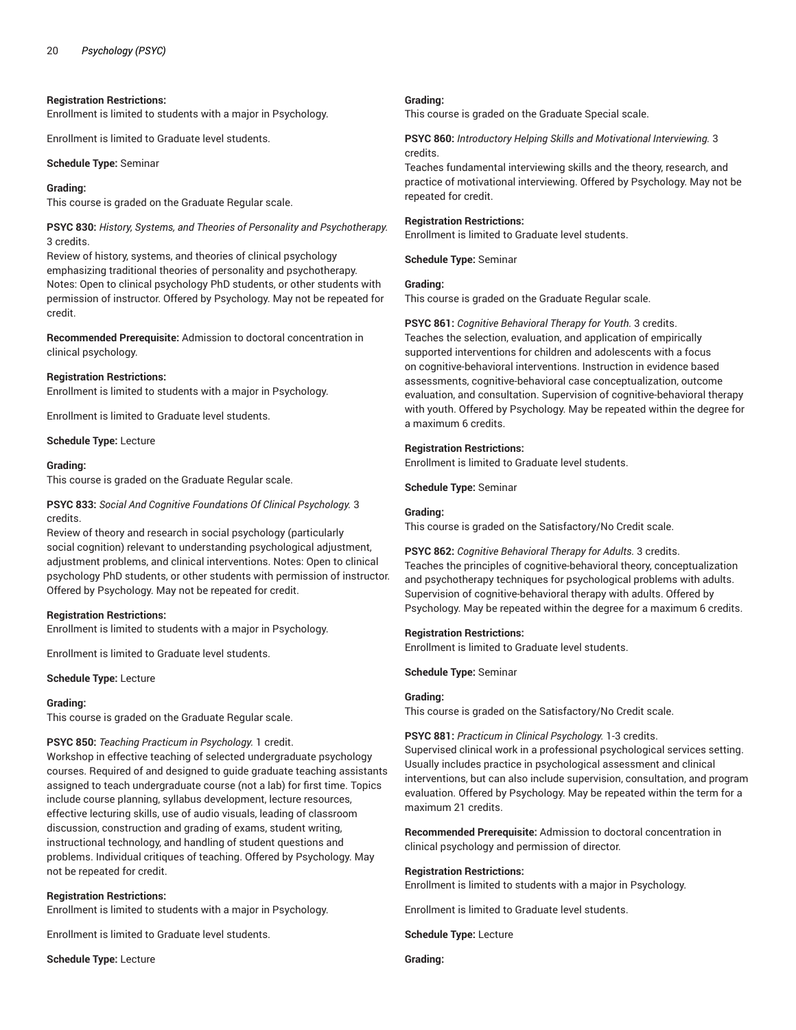#### **Registration Restrictions:**

Enrollment is limited to students with a major in Psychology.

Enrollment is limited to Graduate level students.

**Schedule Type:** Seminar

#### **Grading:**

This course is graded on the Graduate Regular scale.

**PSYC 830:** *History, Systems, and Theories of Personality and Psychotherapy.* 3 credits.

Review of history, systems, and theories of clinical psychology emphasizing traditional theories of personality and psychotherapy. Notes: Open to clinical psychology PhD students, or other students with permission of instructor. Offered by Psychology. May not be repeated for credit.

**Recommended Prerequisite:** Admission to doctoral concentration in clinical psychology.

#### **Registration Restrictions:**

Enrollment is limited to students with a major in Psychology.

Enrollment is limited to Graduate level students.

**Schedule Type:** Lecture

#### **Grading:**

This course is graded on the Graduate Regular scale.

## **PSYC 833:** *Social And Cognitive Foundations Of Clinical Psychology.* 3 credits.

Review of theory and research in social psychology (particularly social cognition) relevant to understanding psychological adjustment, adjustment problems, and clinical interventions. Notes: Open to clinical psychology PhD students, or other students with permission of instructor. Offered by Psychology. May not be repeated for credit.

#### **Registration Restrictions:**

Enrollment is limited to students with a major in Psychology.

Enrollment is limited to Graduate level students.

**Schedule Type:** Lecture

#### **Grading:**

This course is graded on the Graduate Regular scale.

#### **PSYC 850:** *Teaching Practicum in Psychology.* 1 credit.

Workshop in effective teaching of selected undergraduate psychology courses. Required of and designed to guide graduate teaching assistants assigned to teach undergraduate course (not a lab) for first time. Topics include course planning, syllabus development, lecture resources, effective lecturing skills, use of audio visuals, leading of classroom discussion, construction and grading of exams, student writing, instructional technology, and handling of student questions and problems. Individual critiques of teaching. Offered by Psychology. May not be repeated for credit.

#### **Registration Restrictions:**

Enrollment is limited to students with a major in Psychology.

Enrollment is limited to Graduate level students.

**Schedule Type:** Lecture

#### **Grading:**

This course is graded on the Graduate Special scale.

**PSYC 860:** *Introductory Helping Skills and Motivational Interviewing.* 3 credits.

Teaches fundamental interviewing skills and the theory, research, and practice of motivational interviewing. Offered by Psychology. May not be repeated for credit.

## **Registration Restrictions:**

Enrollment is limited to Graduate level students.

**Schedule Type:** Seminar

## **Grading:**

This course is graded on the Graduate Regular scale.

**PSYC 861:** *Cognitive Behavioral Therapy for Youth.* 3 credits. Teaches the selection, evaluation, and application of empirically supported interventions for children and adolescents with a focus on cognitive-behavioral interventions. Instruction in evidence based assessments, cognitive-behavioral case conceptualization, outcome evaluation, and consultation. Supervision of cognitive-behavioral therapy with youth. Offered by Psychology. May be repeated within the degree for a maximum 6 credits.

## **Registration Restrictions:**

Enrollment is limited to Graduate level students.

**Schedule Type:** Seminar

#### **Grading:**

This course is graded on the Satisfactory/No Credit scale.

**PSYC 862:** *Cognitive Behavioral Therapy for Adults.* 3 credits. Teaches the principles of cognitive-behavioral theory, conceptualization and psychotherapy techniques for psychological problems with adults. Supervision of cognitive-behavioral therapy with adults. Offered by Psychology. May be repeated within the degree for a maximum 6 credits.

#### **Registration Restrictions:**

Enrollment is limited to Graduate level students.

**Schedule Type:** Seminar

#### **Grading:**

This course is graded on the Satisfactory/No Credit scale.

## **PSYC 881:** *Practicum in Clinical Psychology.* 1-3 credits.

Supervised clinical work in a professional psychological services setting. Usually includes practice in psychological assessment and clinical interventions, but can also include supervision, consultation, and program evaluation. Offered by Psychology. May be repeated within the term for a maximum 21 credits.

**Recommended Prerequisite:** Admission to doctoral concentration in clinical psychology and permission of director.

#### **Registration Restrictions:**

Enrollment is limited to students with a major in Psychology.

Enrollment is limited to Graduate level students.

**Schedule Type:** Lecture